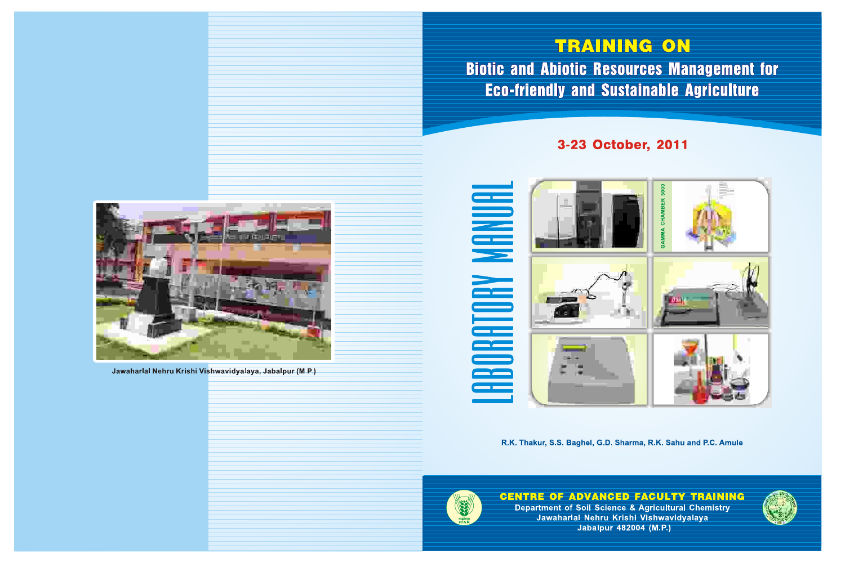# TRAINING ON **Biotic and Abiotic Resources Management for Eco-friendly and Sustainable Agriculture**



Jawaharlal Nehru Krishi Vishwavidyalaya, Jabalpur (M.P.)



R.K. Thakur, S.S. Baghel, G.D. Sharma, R.K. Sahu and P.C. Amule



**CENTRE OF ADVANCED FACULTY TRAINING** Department of Soil Science & Agricultural Chemistry Jawaharlal Nehru Krishi Vishwavidyalaya **Jabalpur 482004 (M.P.)** 

# 3-23 October, 2011



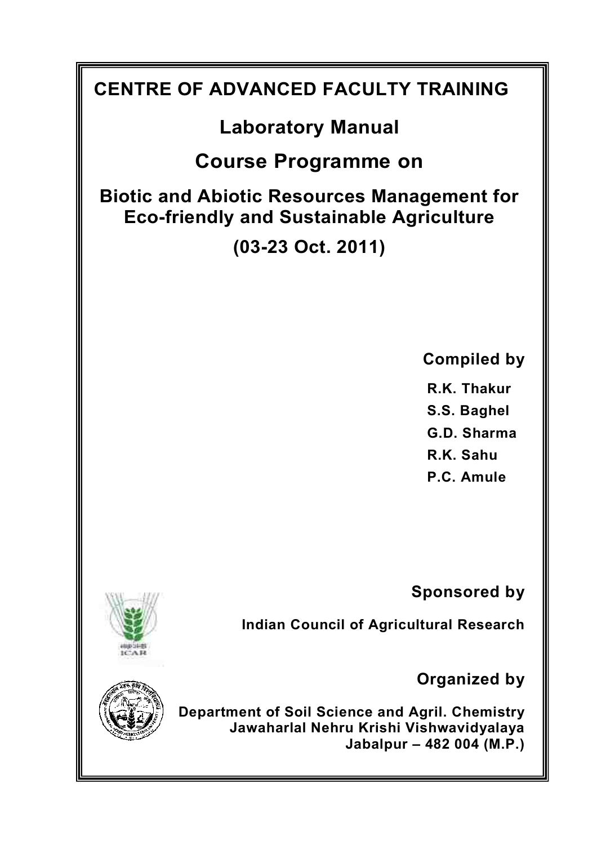# **CENTRE OF ADVANCED FACULTY TRAINING Laboratory Manual Course Programme on Biotic and Abiotic Resources Management for Eco-friendly and Sustainable Agriculture (03-23 Oct. 2011) Compiled by R.K. Thakur S.S. Baghel G.D. Sharma R.K. Sahu P.C. Amule Sponsored by Indian Council of Agricultural Research Organized by Department of Soil Science and Agril. Chemistry Jawaharlal Nehru Krishi Vishwavidyalaya Jabalpur – 482 004 (M.P.)**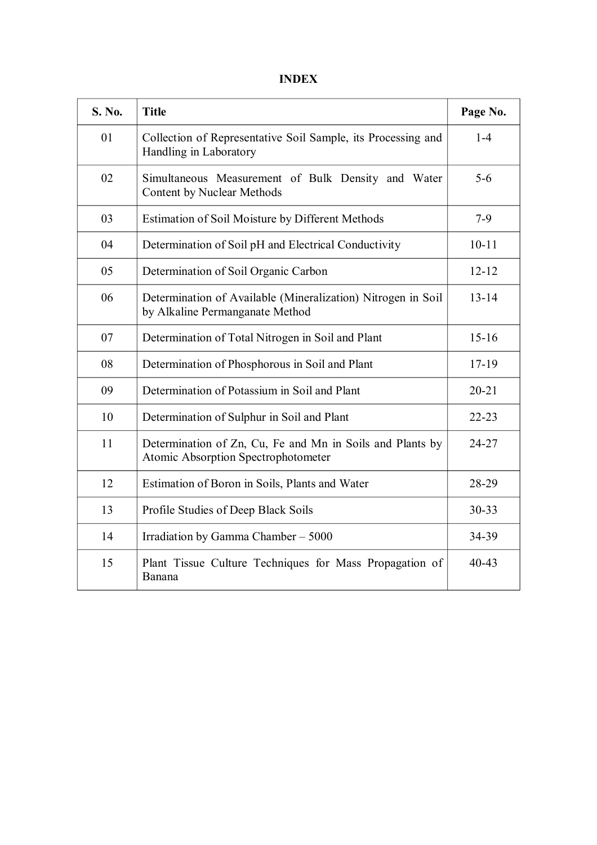#### **INDEX**

| S. No. | <b>Title</b>                                                                                     | Page No.  |
|--------|--------------------------------------------------------------------------------------------------|-----------|
| 01     | Collection of Representative Soil Sample, its Processing and<br>Handling in Laboratory           | $1-4$     |
| 02     | Simultaneous Measurement of Bulk Density and Water<br>Content by Nuclear Methods                 | $5 - 6$   |
| 03     | Estimation of Soil Moisture by Different Methods                                                 | $7-9$     |
| 04     | Determination of Soil pH and Electrical Conductivity                                             | $10 - 11$ |
| 05     | Determination of Soil Organic Carbon                                                             | $12 - 12$ |
| 06     | Determination of Available (Mineralization) Nitrogen in Soil<br>by Alkaline Permanganate Method  | $13 - 14$ |
| 07     | Determination of Total Nitrogen in Soil and Plant                                                | $15 - 16$ |
| 08     | Determination of Phosphorous in Soil and Plant                                                   | $17 - 19$ |
| 09     | Determination of Potassium in Soil and Plant                                                     | $20 - 21$ |
| 10     | Determination of Sulphur in Soil and Plant                                                       | $22 - 23$ |
| 11     | Determination of Zn, Cu, Fe and Mn in Soils and Plants by<br>Atomic Absorption Spectrophotometer | 24-27     |
| 12     | Estimation of Boron in Soils, Plants and Water                                                   | 28-29     |
| 13     | Profile Studies of Deep Black Soils                                                              | 30-33     |
| 14     | Irradiation by Gamma Chamber - 5000                                                              | 34-39     |
| 15     | Plant Tissue Culture Techniques for Mass Propagation of<br>Banana                                | $40 - 43$ |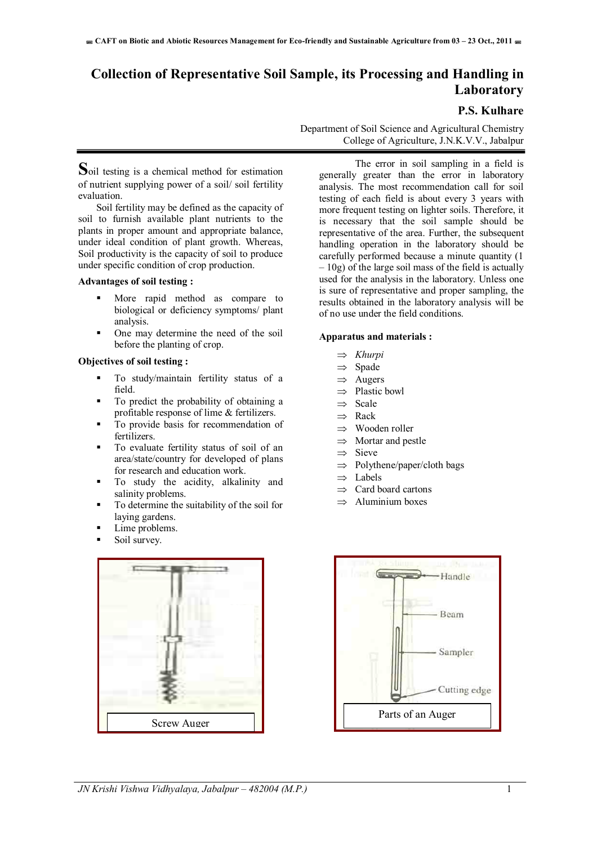### **Collection of Representative Soil Sample, its Processing and Handling in Laboratory**

#### **P.S. Kulhare**

**S**oil testing is a chemical method for estimation of nutrient supplying power of a soil/ soil fertility evaluation.

Soil fertility may be defined as the capacity of soil to furnish available plant nutrients to the plants in proper amount and appropriate balance, under ideal condition of plant growth. Whereas, Soil productivity is the capacity of soil to produce under specific condition of crop production.

#### **Advantages of soil testing :**

- More rapid method as compare to biological or deficiency symptoms/ plant analysis.
- One may determine the need of the soil before the planting of crop.

#### **Objectives of soil testing :**

- To study/maintain fertility status of a field.
- To predict the probability of obtaining a profitable response of lime & fertilizers.
- To provide basis for recommendation of fertilizers.
- To evaluate fertility status of soil of an area/state/country for developed of plans for research and education work.
- To study the acidity, alkalinity and salinity problems.
- To determine the suitability of the soil for laying gardens.
- Lime problems.
- Soil survey.



Department of Soil Science and Agricultural Chemistry College of Agriculture, J.N.K.V.V., Jabalpur

The error in soil sampling in a field is generally greater than the error in laboratory analysis. The most recommendation call for soil testing of each field is about every 3 years with more frequent testing on lighter soils. Therefore, it is necessary that the soil sample should be representative of the area. Further, the subsequent handling operation in the laboratory should be carefully performed because a minute quantity (1  $-10g$ ) of the large soil mass of the field is actually used for the analysis in the laboratory. Unless one is sure of representative and proper sampling, the results obtained in the laboratory analysis will be of no use under the field conditions.

#### **Apparatus and materials :**

- *Khurpi*
- $\Rightarrow$  Spade
- $\Rightarrow$  Augers
- $\Rightarrow$  Plastic bowl
- $\Rightarrow$  Scale
- $\Rightarrow$  Rack
- $\Rightarrow$  Wooden roller
- $\Rightarrow$  Mortar and pestle
- $\Rightarrow$  Sieve
- $\Rightarrow$  Polythene/paper/cloth bags
- $\Rightarrow$  Labels
- $\Rightarrow$  Card board cartons
- $\Rightarrow$  Aluminium boxes

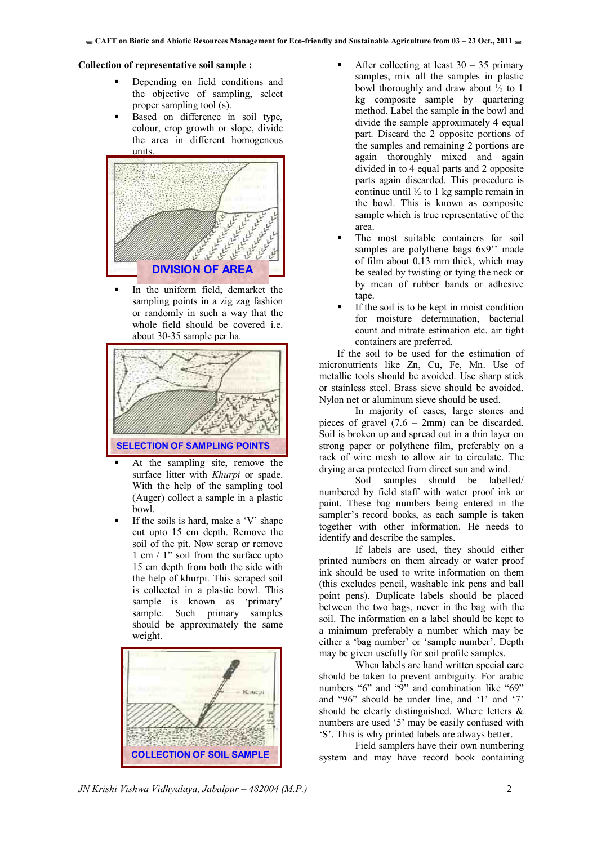#### **Collection of representative soil sample :**

- Depending on field conditions and the objective of sampling, select proper sampling tool (s).
- Based on difference in soil type, colour, crop growth or slope, divide the area in different homogenous units.



In the uniform field, demarket the sampling points in a zig zag fashion or randomly in such a way that the whole field should be covered i.e. about 30-35 sample per ha.



- At the sampling site, remove the surface litter with *Khurpi* or spade. With the help of the sampling tool (Auger) collect a sample in a plastic bowl.
- If the soils is hard, make a 'V' shape cut upto 15 cm depth. Remove the soil of the pit. Now scrap or remove 1 cm / 1" soil from the surface upto 15 cm depth from both the side with the help of khurpi. This scraped soil is collected in a plastic bowl. This sample is known as 'primary' sample. Such primary samples should be approximately the same weight.



- After collecting at least  $30 35$  primary samples, mix all the samples in plastic bowl thoroughly and draw about  $\frac{1}{2}$  to 1 kg composite sample by quartering method. Label the sample in the bowl and divide the sample approximately 4 equal part. Discard the 2 opposite portions of the samples and remaining 2 portions are again thoroughly mixed and again divided in to 4 equal parts and 2 opposite parts again discarded. This procedure is continue until ½ to 1 kg sample remain in the bowl. This is known as composite sample which is true representative of the area.
- The most suitable containers for soil samples are polythene bags  $6x9$ <sup>"</sup> made of film about 0.13 mm thick, which may be sealed by twisting or tying the neck or by mean of rubber bands or adhesive tape.
- If the soil is to be kept in moist condition for moisture determination, bacterial count and nitrate estimation etc. air tight containers are preferred.

If the soil to be used for the estimation of micronutrients like Zn, Cu, Fe, Mn. Use of metallic tools should be avoided. Use sharp stick or stainless steel. Brass sieve should be avoided. Nylon net or aluminum sieve should be used.

 In majority of cases, large stones and pieces of gravel  $(7.6 - 2mm)$  can be discarded. Soil is broken up and spread out in a thin layer on strong paper or polythene film, preferably on a rack of wire mesh to allow air to circulate. The drying area protected from direct sun and wind.

Soil samples should be labelled/ numbered by field staff with water proof ink or paint. These bag numbers being entered in the sampler's record books, as each sample is taken together with other information. He needs to identify and describe the samples.

 If labels are used, they should either printed numbers on them already or water proof ink should be used to write information on them (this excludes pencil, washable ink pens and ball point pens). Duplicate labels should be placed between the two bags, never in the bag with the soil. The information on a label should be kept to a minimum preferably a number which may be either a 'bag number' or 'sample number'. Depth may be given usefully for soil profile samples.

When labels are hand written special care should be taken to prevent ambiguity. For arabic numbers "6" and "9" and combination like "69" and "96" should be under line, and '1' and '7' should be clearly distinguished. Where letters & numbers are used '5' may be easily confused with 'S'. This is why printed labels are always better.

 Field samplers have their own numbering system and may have record book containing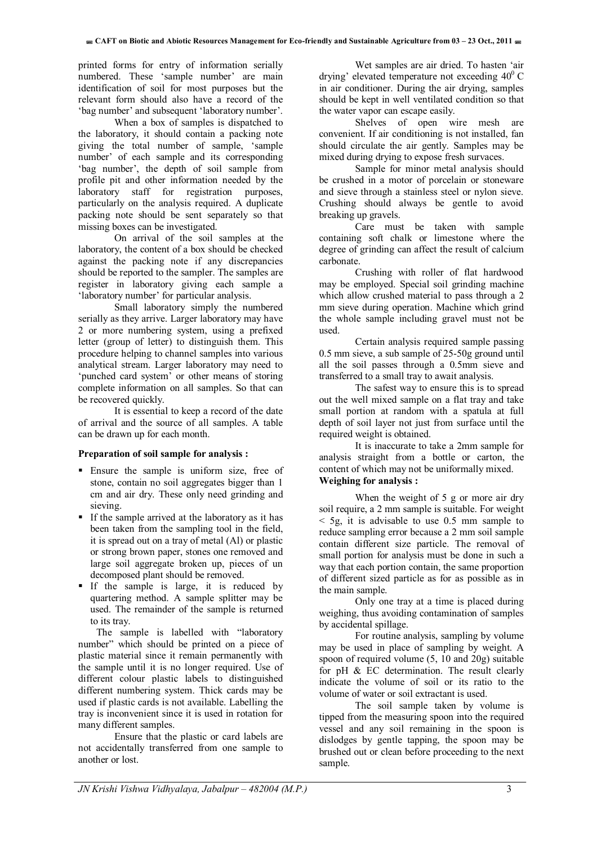printed forms for entry of information serially numbered. These 'sample number' are main identification of soil for most purposes but the relevant form should also have a record of the 'bag number' and subsequent 'laboratory number'.

When a box of samples is dispatched to the laboratory, it should contain a packing note giving the total number of sample, 'sample number' of each sample and its corresponding 'bag number', the depth of soil sample from profile pit and other information needed by the laboratory staff for registration purposes, particularly on the analysis required. A duplicate packing note should be sent separately so that missing boxes can be investigated.

 On arrival of the soil samples at the laboratory, the content of a box should be checked against the packing note if any discrepancies should be reported to the sampler. The samples are register in laboratory giving each sample a 'laboratory number' for particular analysis.

Small laboratory simply the numbered serially as they arrive. Larger laboratory may have 2 or more numbering system, using a prefixed letter (group of letter) to distinguish them. This procedure helping to channel samples into various analytical stream. Larger laboratory may need to 'punched card system' or other means of storing complete information on all samples. So that can be recovered quickly.

 It is essential to keep a record of the date of arrival and the source of all samples. A table can be drawn up for each month.

#### **Preparation of soil sample for analysis :**

- Ensure the sample is uniform size, free of stone, contain no soil aggregates bigger than 1 cm and air dry. These only need grinding and sieving.
- If the sample arrived at the laboratory as it has been taken from the sampling tool in the field, it is spread out on a tray of metal (Al) or plastic or strong brown paper, stones one removed and large soil aggregate broken up, pieces of un decomposed plant should be removed.
- If the sample is large, it is reduced by quartering method. A sample splitter may be used. The remainder of the sample is returned to its tray.

The sample is labelled with "laboratory number" which should be printed on a piece of plastic material since it remain permanently with the sample until it is no longer required. Use of different colour plastic labels to distinguished different numbering system. Thick cards may be used if plastic cards is not available. Labelling the tray is inconvenient since it is used in rotation for many different samples.

 Ensure that the plastic or card labels are not accidentally transferred from one sample to another or lost.

 Wet samples are air dried. To hasten 'air drying' elevated temperature not exceeding  $40^{\circ}$  C in air conditioner. During the air drying, samples should be kept in well ventilated condition so that the water vapor can escape easily.

Shelves of open wire mesh are convenient. If air conditioning is not installed, fan should circulate the air gently. Samples may be mixed during drying to expose fresh survaces.

 Sample for minor metal analysis should be crushed in a motor of porcelain or stoneware and sieve through a stainless steel or nylon sieve. Crushing should always be gentle to avoid breaking up gravels.

 Care must be taken with sample containing soft chalk or limestone where the degree of grinding can affect the result of calcium carbonate.

 Crushing with roller of flat hardwood may be employed. Special soil grinding machine which allow crushed material to pass through a 2 mm sieve during operation. Machine which grind the whole sample including gravel must not be used.

Certain analysis required sample passing 0.5 mm sieve, a sub sample of 25-50g ground until all the soil passes through a 0.5mm sieve and transferred to a small tray to await analysis.

 The safest way to ensure this is to spread out the well mixed sample on a flat tray and take small portion at random with a spatula at full depth of soil layer not just from surface until the required weight is obtained.

 It is inaccurate to take a 2mm sample for analysis straight from a bottle or carton, the content of which may not be uniformally mixed.

#### **Weighing for analysis :**

When the weight of 5 g or more air dry soil require, a 2 mm sample is suitable. For weight  $<$  5g, it is advisable to use 0.5 mm sample to reduce sampling error because a 2 mm soil sample contain different size particle. The removal of small portion for analysis must be done in such a way that each portion contain, the same proportion of different sized particle as for as possible as in the main sample.

Only one tray at a time is placed during weighing, thus avoiding contamination of samples by accidental spillage.

 For routine analysis, sampling by volume may be used in place of sampling by weight. A spoon of required volume (5, 10 and 20g) suitable for pH & EC determination. The result clearly indicate the volume of soil or its ratio to the volume of water or soil extractant is used.

 The soil sample taken by volume is tipped from the measuring spoon into the required vessel and any soil remaining in the spoon is dislodges by gentle tapping, the spoon may be brushed out or clean before proceeding to the next sample.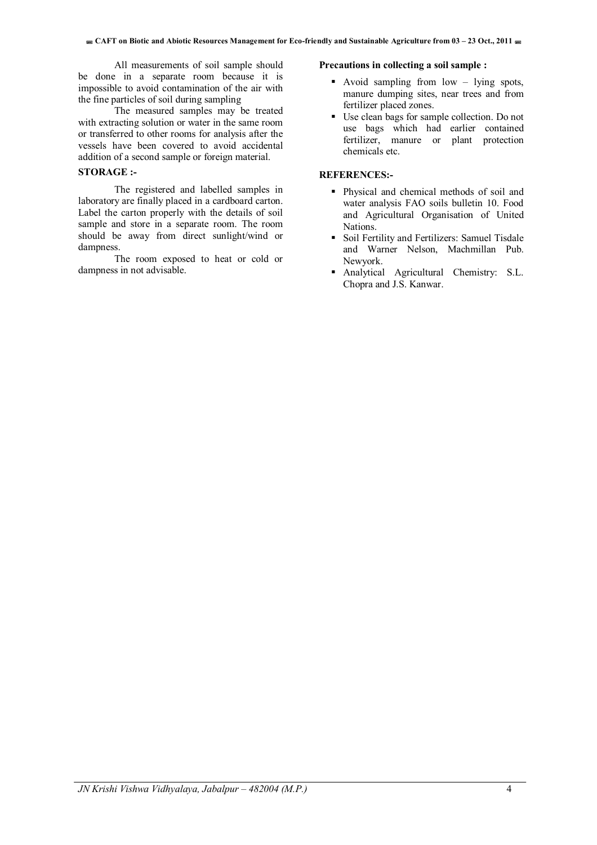All measurements of soil sample should be done in a separate room because it is impossible to avoid contamination of the air with the fine particles of soil during sampling

 The measured samples may be treated with extracting solution or water in the same room or transferred to other rooms for analysis after the vessels have been covered to avoid accidental addition of a second sample or foreign material.

#### **STORAGE :-**

The registered and labelled samples in laboratory are finally placed in a cardboard carton. Label the carton properly with the details of soil sample and store in a separate room. The room should be away from direct sunlight/wind or dampness.

The room exposed to heat or cold or dampness in not advisable.

#### **Precautions in collecting a soil sample :**

- Avoid sampling from low lying spots, manure dumping sites, near trees and from fertilizer placed zones.
- Use clean bags for sample collection. Do not use bags which had earlier contained fertilizer, manure or plant protection chemicals etc.

#### **REFERENCES:-**

- Physical and chemical methods of soil and water analysis FAO soils bulletin 10. Food and Agricultural Organisation of United Nations.
- Soil Fertility and Fertilizers: Samuel Tisdale and Warner Nelson, Machmillan Pub. Newyork.
- Analytical Agricultural Chemistry: S.L. Chopra and J.S. Kanwar.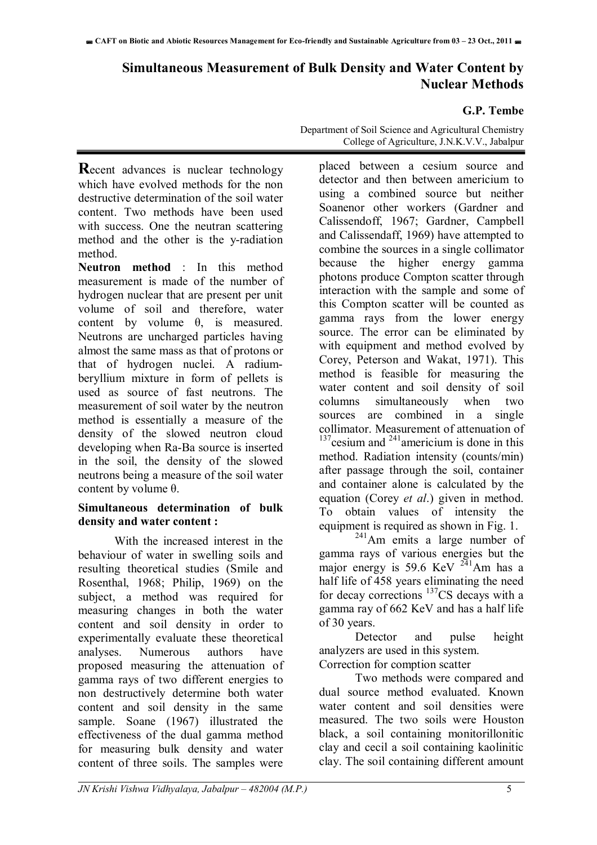# **Simultaneous Measurement of Bulk Density and Water Content by Nuclear Methods**

#### **G.P. Tembe**

**Recent advances is nuclear technology** which have evolved methods for the non destructive determination of the soil water content. Two methods have been used with success. One the neutran scattering method and the other is the y-radiation method.

**Neutron method** : In this method measurement is made of the number of hydrogen nuclear that are present per unit volume of soil and therefore, water content by volume  $\theta$ , is measured. Neutrons are uncharged particles having almost the same mass as that of protons or that of hydrogen nuclei. A radiumberyllium mixture in form of pellets is used as source of fast neutrons. The measurement of soil water by the neutron method is essentially a measure of the density of the slowed neutron cloud developing when Ra-Ba source is inserted in the soil, the density of the slowed neutrons being a measure of the soil water content by volume θ.

#### **Simultaneous determination of bulk density and water content :**

With the increased interest in the behaviour of water in swelling soils and resulting theoretical studies (Smile and Rosenthal, 1968; Philip, 1969) on the subject, a method was required for measuring changes in both the water content and soil density in order to experimentally evaluate these theoretical analyses. Numerous authors have proposed measuring the attenuation of gamma rays of two different energies to non destructively determine both water content and soil density in the same sample. Soane (1967) illustrated the effectiveness of the dual gamma method for measuring bulk density and water content of three soils. The samples were

Department of Soil Science and Agricultural Chemistry College of Agriculture, J.N.K.V.V., Jabalpur

placed between a cesium source and detector and then between americium to using a combined source but neither Soanenor other workers (Gardner and Calissendoff, 1967; Gardner, Campbell and Calissendaff, 1969) have attempted to combine the sources in a single collimator because the higher energy gamma photons produce Compton scatter through interaction with the sample and some of this Compton scatter will be counted as gamma rays from the lower energy source. The error can be eliminated by with equipment and method evolved by Corey, Peterson and Wakat, 1971). This method is feasible for measuring the water content and soil density of soil columns simultaneously when two sources are combined in a single collimator. Measurement of attenuation of  $137$ cesium and  $241$ americium is done in this method. Radiation intensity (counts/min) after passage through the soil, container and container alone is calculated by the equation (Corey *et al*.) given in method. To obtain values of intensity the equipment is required as shown in Fig. 1.

 $^{241}$ Am emits a large number of gamma rays of various energies but the major energy is 59.6 KeV  $^{241}$ Am has a half life of 458 years eliminating the need for decay corrections 137CS decays with a gamma ray of 662 KeV and has a half life of 30 years.

Detector and pulse height analyzers are used in this system. Correction for comption scatter

Two methods were compared and dual source method evaluated. Known water content and soil densities were measured. The two soils were Houston black, a soil containing monitorillonitic clay and cecil a soil containing kaolinitic clay. The soil containing different amount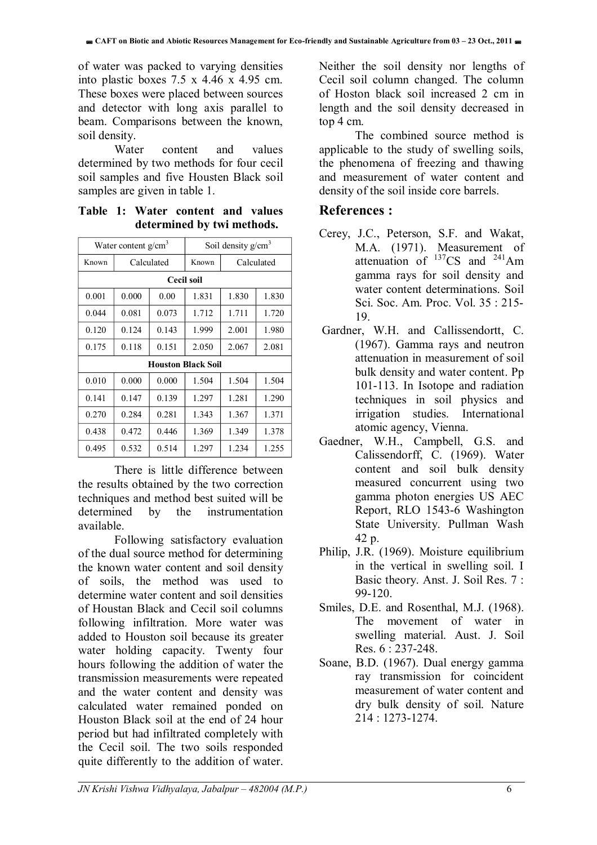of water was packed to varying densities into plastic boxes 7.5 x 4.46 x 4.95 cm. These boxes were placed between sources and detector with long axis parallel to beam. Comparisons between the known, soil density.

Water content and values determined by two methods for four cecil soil samples and five Housten Black soil samples are given in table 1.

**Table 1: Water content and values determined by twi methods.** 

| Water content $g/cm3$     |                |       | Soil density $g/cm3$ |            |       |
|---------------------------|----------------|-------|----------------------|------------|-------|
| Known                     | Calculated     |       | Known                | Calculated |       |
|                           |                |       | Cecil soil           |            |       |
| 0.001                     | 0.000          | 0.00  | 1.831                | 1.830      | 1.830 |
| 0.044                     | 0.081          | 0.073 | 1.712                | 1.711      | 1.720 |
| 0.120                     | 0.124          | 0.143 | 1.999                | 2.001      | 1.980 |
| 0.175                     | 0.118<br>0.151 |       | 2.050                | 2.067      | 2.081 |
| <b>Houston Black Soil</b> |                |       |                      |            |       |
| 0.010                     | 0.000          | 0.000 | 1.504                | 1.504      | 1.504 |
| 0.141                     | 0.147          | 0.139 | 1.297                | 1.281      | 1.290 |
| 0.270                     | 0.284          | 0.281 | 1.343                | 1.367      | 1.371 |
| 0.438                     | 0.472          | 0.446 | 1.369                | 1.349      | 1.378 |
| 0.495                     | 0.532          | 0.514 | 1.297                | 1.234      | 1.255 |

There is little difference between the results obtained by the two correction techniques and method best suited will be determined by the instrumentation available.

Following satisfactory evaluation of the dual source method for determining the known water content and soil density of soils, the method was used to determine water content and soil densities of Houstan Black and Cecil soil columns following infiltration. More water was added to Houston soil because its greater water holding capacity. Twenty four hours following the addition of water the transmission measurements were repeated and the water content and density was calculated water remained ponded on Houston Black soil at the end of 24 hour period but had infiltrated completely with the Cecil soil. The two soils responded quite differently to the addition of water.

Neither the soil density nor lengths of Cecil soil column changed. The column of Hoston black soil increased 2 cm in length and the soil density decreased in top 4 cm.

The combined source method is applicable to the study of swelling soils, the phenomena of freezing and thawing and measurement of water content and density of the soil inside core barrels.

### **References :**

- Cerey, J.C., Peterson, S.F. and Wakat, M.A. (1971). Measurement of attenuation of  $137CS$  and  $241Am$ gamma rays for soil density and water content determinations. Soil Sci. Soc. Am. Proc. Vol. 35 : 215- 19.
- Gardner, W.H. and Callissendortt, C. (1967). Gamma rays and neutron attenuation in measurement of soil bulk density and water content. Pp 101-113. In Isotope and radiation techniques in soil physics and irrigation studies. International atomic agency, Vienna.
- Gaedner, W.H., Campbell, G.S. and Calissendorff, C. (1969). Water content and soil bulk density measured concurrent using two gamma photon energies US AEC Report, RLO 1543-6 Washington State University. Pullman Wash 42 p.
- Philip, J.R. (1969). Moisture equilibrium in the vertical in swelling soil. I Basic theory. Anst. J. Soil Res. 7 : 99-120.
- Smiles, D.E. and Rosenthal, M.J. (1968). The movement of water in swelling material. Aust. J. Soil Res. 6 : 237-248.
- Soane, B.D. (1967). Dual energy gamma ray transmission for coincident measurement of water content and dry bulk density of soil. Nature 214 : 1273-1274.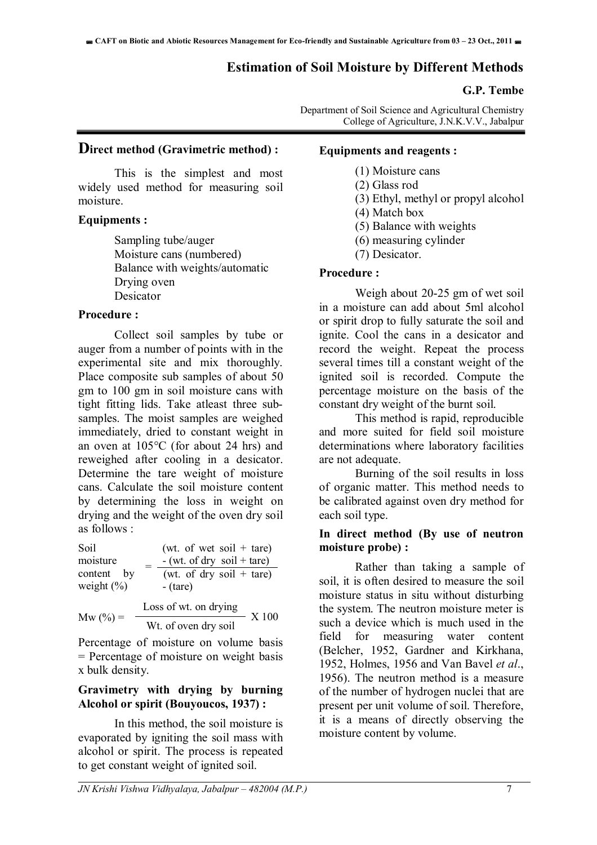#### **Estimation of Soil Moisture by Different Methods**

#### **G.P. Tembe**

Department of Soil Science and Agricultural Chemistry College of Agriculture, J.N.K.V.V., Jabalpur

#### **Direct method (Gravimetric method) :**

This is the simplest and most widely used method for measuring soil moisture.

#### **Equipments :**

Sampling tube/auger Moisture cans (numbered) Balance with weights/automatic Drying oven Desicator

#### **Procedure :**

Collect soil samples by tube or auger from a number of points with in the experimental site and mix thoroughly. Place composite sub samples of about 50 gm to 100 gm in soil moisture cans with tight fitting lids. Take atleast three subsamples. The moist samples are weighed immediately, dried to constant weight in an oven at 105°C (for about 24 hrs) and reweighed after cooling in a desicator. Determine the tare weight of moisture cans. Calculate the soil moisture content by determining the loss in weight on drying and the weight of the oven dry soil as follows :

| Soil                         | (wt. of wet soil + tare)               |
|------------------------------|----------------------------------------|
| moisture                     | $-$ (wt. of dry soil + tare)           |
| content by<br>weight $(\% )$ | (wt. of dry soil + tare)<br>$-$ (tare) |
|                              | Loss of wt. on drying                  |

 $Mw (%) =$ X 100 Wt. of oven dry soil

Percentage of moisture on volume basis = Percentage of moisture on weight basis x bulk density.

#### **Gravimetry with drying by burning Alcohol or spirit (Bouyoucos, 1937) :**

In this method, the soil moisture is evaporated by igniting the soil mass with alcohol or spirit. The process is repeated to get constant weight of ignited soil.

#### **Equipments and reagents :**

- (1) Moisture cans
- (2) Glass rod
- (3) Ethyl, methyl or propyl alcohol
- (4) Match box
- (5) Balance with weights
- (6) measuring cylinder
- (7) Desicator.

#### **Procedure :**

Weigh about 20-25 gm of wet soil in a moisture can add about 5ml alcohol or spirit drop to fully saturate the soil and ignite. Cool the cans in a desicator and record the weight. Repeat the process several times till a constant weight of the ignited soil is recorded. Compute the percentage moisture on the basis of the constant dry weight of the burnt soil.

This method is rapid, reproducible and more suited for field soil moisture determinations where laboratory facilities are not adequate.

Burning of the soil results in loss of organic matter. This method needs to be calibrated against oven dry method for each soil type.

#### **In direct method (By use of neutron moisture probe) :**

Rather than taking a sample of soil it is often desired to measure the soil moisture status in situ without disturbing the system. The neutron moisture meter is such a device which is much used in the field for measuring water content (Belcher, 1952, Gardner and Kirkhana, 1952, Holmes, 1956 and Van Bavel *et al*., 1956). The neutron method is a measure of the number of hydrogen nuclei that are present per unit volume of soil. Therefore, it is a means of directly observing the moisture content by volume.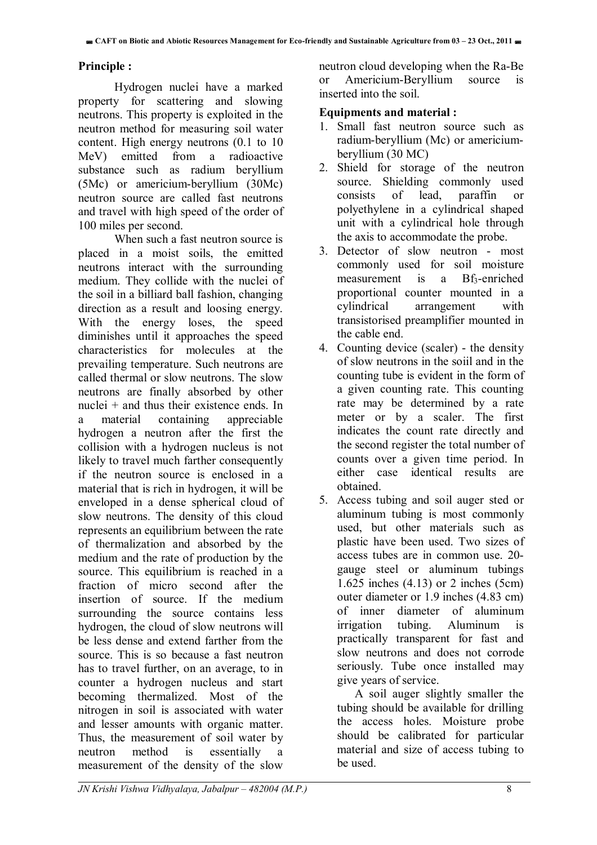#### **Principle :**

Hydrogen nuclei have a marked property for scattering and slowing neutrons. This property is exploited in the neutron method for measuring soil water content. High energy neutrons (0.1 to 10 MeV) emitted from a radioactive substance such as radium beryllium (5Mc) or americium-beryllium (30Mc) neutron source are called fast neutrons and travel with high speed of the order of 100 miles per second.

When such a fast neutron source is placed in a moist soils, the emitted neutrons interact with the surrounding medium. They collide with the nuclei of the soil in a billiard ball fashion, changing direction as a result and loosing energy. With the energy loses, the speed diminishes until it approaches the speed characteristics for molecules at the prevailing temperature. Such neutrons are called thermal or slow neutrons. The slow neutrons are finally absorbed by other nuclei + and thus their existence ends. In a material containing appreciable hydrogen a neutron after the first the collision with a hydrogen nucleus is not likely to travel much farther consequently if the neutron source is enclosed in a material that is rich in hydrogen, it will be enveloped in a dense spherical cloud of slow neutrons. The density of this cloud represents an equilibrium between the rate of thermalization and absorbed by the medium and the rate of production by the source. This equilibrium is reached in a fraction of micro second after the insertion of source. If the medium surrounding the source contains less hydrogen, the cloud of slow neutrons will be less dense and extend farther from the source. This is so because a fast neutron has to travel further, on an average, to in counter a hydrogen nucleus and start becoming thermalized. Most of the nitrogen in soil is associated with water and lesser amounts with organic matter. Thus, the measurement of soil water by neutron method is essentially a measurement of the density of the slow

neutron cloud developing when the Ra-Be or Americium-Beryllium source is inserted into the soil.

#### **Equipments and material :**

- 1. Small fast neutron source such as radium-beryllium (Mc) or americiumberyllium (30 MC)
- 2. Shield for storage of the neutron source. Shielding commonly used consists of lead, paraffin or polyethylene in a cylindrical shaped unit with a cylindrical hole through the axis to accommodate the probe.
- 3. Detector of slow neutron most commonly used for soil moisture measurement is a Bf<sub>3</sub>-enriched proportional counter mounted in a cylindrical arrangement with transistorised preamplifier mounted in the cable end.
- 4. Counting device (scaler) the density of slow neutrons in the soiil and in the counting tube is evident in the form of a given counting rate. This counting rate may be determined by a rate meter or by a scaler. The first indicates the count rate directly and the second register the total number of counts over a given time period. In either case identical results are obtained.
- 5. Access tubing and soil auger sted or aluminum tubing is most commonly used, but other materials such as plastic have been used. Two sizes of access tubes are in common use. 20 gauge steel or aluminum tubings 1.625 inches (4.13) or 2 inches (5cm) outer diameter or 1.9 inches (4.83 cm) of inner diameter of aluminum irrigation tubing. Aluminum is practically transparent for fast and slow neutrons and does not corrode seriously. Tube once installed may give years of service.

A soil auger slightly smaller the tubing should be available for drilling the access holes. Moisture probe should be calibrated for particular material and size of access tubing to be used.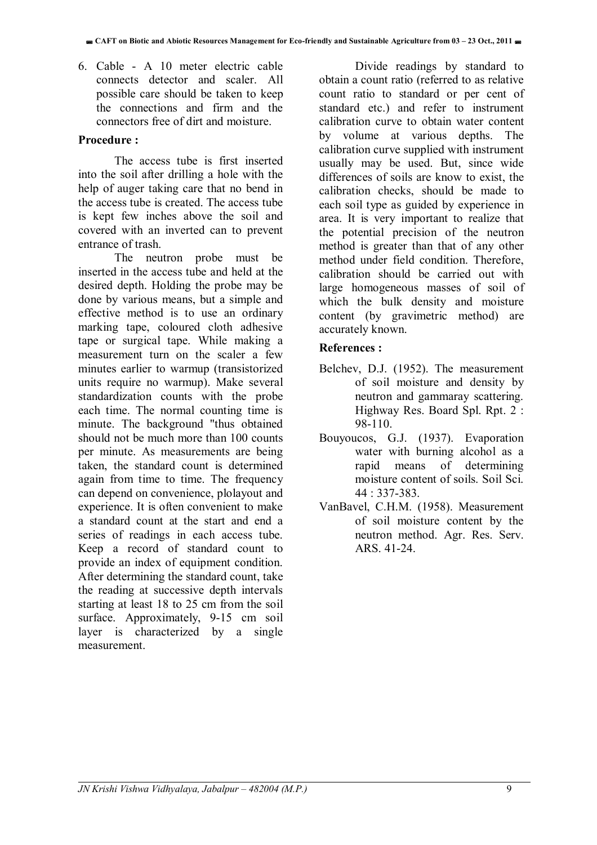6. Cable - A 10 meter electric cable connects detector and scaler. All possible care should be taken to keep the connections and firm and the connectors free of dirt and moisture.

#### **Procedure :**

The access tube is first inserted into the soil after drilling a hole with the help of auger taking care that no bend in the access tube is created. The access tube is kept few inches above the soil and covered with an inverted can to prevent entrance of trash.

The neutron probe must be inserted in the access tube and held at the desired depth. Holding the probe may be done by various means, but a simple and effective method is to use an ordinary marking tape, coloured cloth adhesive tape or surgical tape. While making a measurement turn on the scaler a few minutes earlier to warmup (transistorized units require no warmup). Make several standardization counts with the probe each time. The normal counting time is minute. The background "thus obtained should not be much more than 100 counts per minute. As measurements are being taken, the standard count is determined again from time to time. The frequency can depend on convenience, plolayout and experience. It is often convenient to make a standard count at the start and end a series of readings in each access tube. Keep a record of standard count to provide an index of equipment condition. After determining the standard count, take the reading at successive depth intervals starting at least 18 to 25 cm from the soil surface. Approximately, 9-15 cm soil layer is characterized by a single measurement.

Divide readings by standard to obtain a count ratio (referred to as relative count ratio to standard or per cent of standard etc.) and refer to instrument calibration curve to obtain water content by volume at various depths. The calibration curve supplied with instrument usually may be used. But, since wide differences of soils are know to exist, the calibration checks, should be made to each soil type as guided by experience in area. It is very important to realize that the potential precision of the neutron method is greater than that of any other method under field condition. Therefore, calibration should be carried out with large homogeneous masses of soil of which the bulk density and moisture content (by gravimetric method) are accurately known.

#### **References :**

- Belchev, D.J. (1952). The measurement of soil moisture and density by neutron and gammaray scattering. Highway Res. Board Spl. Rpt. 2 : 98-110.
- Bouyoucos, G.J. (1937). Evaporation water with burning alcohol as a rapid means of determining moisture content of soils. Soil Sci. 44 : 337-383.
- VanBavel, C.H.M. (1958). Measurement of soil moisture content by the neutron method. Agr. Res. Serv. ARS. 41-24.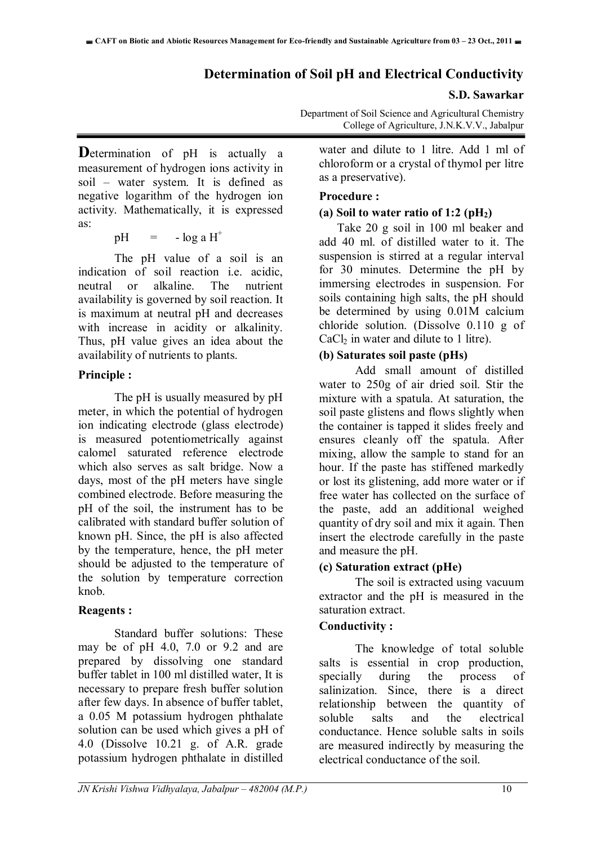## **Determination of Soil pH and Electrical Conductivity**

#### **S.D. Sawarkar**

Department of Soil Science and Agricultural Chemistry College of Agriculture, J.N.K.V.V., Jabalpur

**D**etermination of pH is actually a measurement of hydrogen ions activity in soil – water system. It is defined as negative logarithm of the hydrogen ion activity. Mathematically, it is expressed as:

#### $pH = -\log a H^+$

 The pH value of a soil is an indication of soil reaction i.e. acidic, neutral or alkaline. The nutrient availability is governed by soil reaction. It is maximum at neutral pH and decreases with increase in acidity or alkalinity. Thus, pH value gives an idea about the availability of nutrients to plants.

#### **Principle :**

 The pH is usually measured by pH meter, in which the potential of hydrogen ion indicating electrode (glass electrode) is measured potentiometrically against calomel saturated reference electrode which also serves as salt bridge. Now a days, most of the pH meters have single combined electrode. Before measuring the pH of the soil, the instrument has to be calibrated with standard buffer solution of known pH. Since, the pH is also affected by the temperature, hence, the pH meter should be adjusted to the temperature of the solution by temperature correction knob.

### **Reagents :**

 Standard buffer solutions: These may be of pH 4.0, 7.0 or 9.2 and are prepared by dissolving one standard buffer tablet in 100 ml distilled water, It is necessary to prepare fresh buffer solution after few days. In absence of buffer tablet, a 0.05 M potassium hydrogen phthalate solution can be used which gives a pH of 4.0 (Dissolve 10.21 g. of A.R. grade potassium hydrogen phthalate in distilled

water and dilute to 1 litre. Add 1 ml of chloroform or a crystal of thymol per litre as a preservative).

#### **Procedure :**

#### **(a) Soil to water ratio of 1:2 (pH2)**

 Take 20 g soil in 100 ml beaker and add 40 ml. of distilled water to it. The suspension is stirred at a regular interval for 30 minutes. Determine the pH by immersing electrodes in suspension. For soils containing high salts, the pH should be determined by using 0.01M calcium chloride solution. (Dissolve 0.110 g of  $CaCl<sub>2</sub>$  in water and dilute to 1 litre).

#### **(b) Saturates soil paste (pHs)**

 Add small amount of distilled water to 250g of air dried soil. Stir the mixture with a spatula. At saturation, the soil paste glistens and flows slightly when the container is tapped it slides freely and ensures cleanly off the spatula. After mixing, allow the sample to stand for an hour. If the paste has stiffened markedly or lost its glistening, add more water or if free water has collected on the surface of the paste, add an additional weighed quantity of dry soil and mix it again. Then insert the electrode carefully in the paste and measure the pH.

### **(c) Saturation extract (pHe)**

 The soil is extracted using vacuum extractor and the pH is measured in the saturation extract.

#### **Conductivity :**

 The knowledge of total soluble salts is essential in crop production, specially during the process of salinization. Since, there is a direct relationship between the quantity of soluble salts and the electrical conductance. Hence soluble salts in soils are measured indirectly by measuring the electrical conductance of the soil.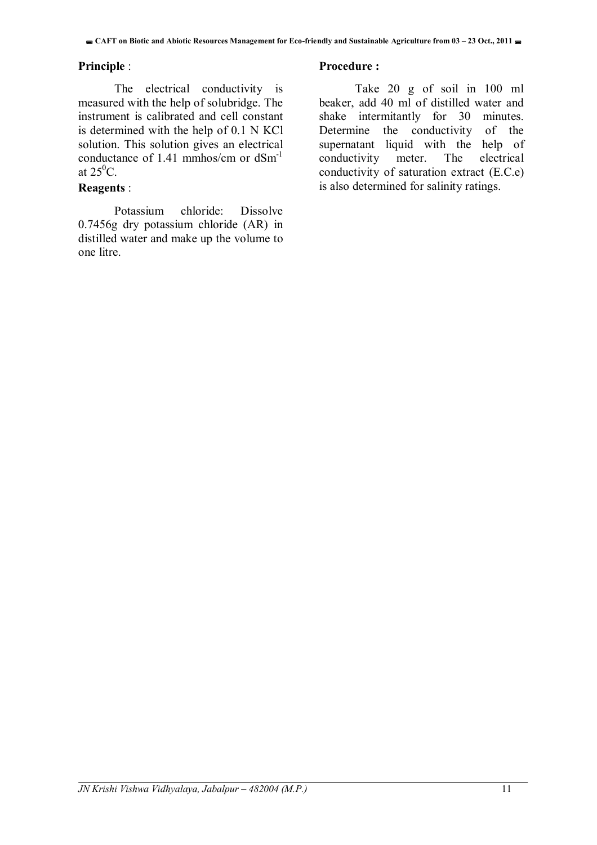#### **Principle** :

 The electrical conductivity is measured with the help of solubridge. The instrument is calibrated and cell constant is determined with the help of 0.1 N KCl solution. This solution gives an electrical conductance of 1.41 mmhos/cm or  $dSm^{-1}$ at  $25^0C$ .

#### **Reagents** :

 Potassium chloride: Dissolve 0.7456g dry potassium chloride (AR) in distilled water and make up the volume to one litre.

#### **Procedure :**

 Take 20 g of soil in 100 ml beaker, add 40 ml of distilled water and shake intermitantly for 30 minutes. Determine the conductivity of the supernatant liquid with the help of conductivity meter. The electrical conductivity of saturation extract (E.C.e) is also determined for salinity ratings.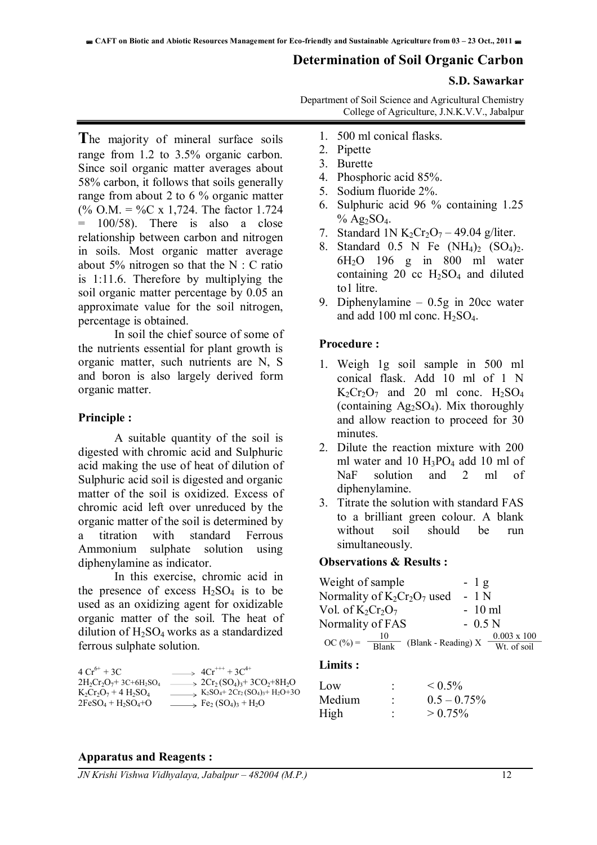#### **Determination of Soil Organic Carbon**

#### **S.D. Sawarkar**

Department of Soil Science and Agricultural Chemistry College of Agriculture, J.N.K.V.V., Jabalpur

**T**he majority of mineral surface soils range from 1.2 to 3.5% organic carbon. Since soil organic matter averages about 58% carbon, it follows that soils generally range from about 2 to 6 % organic matter (% O.M. = %C x 1,724. The factor 1.724  $100/58$ . There is also a close relationship between carbon and nitrogen in soils. Most organic matter average about 5% nitrogen so that the  $N : C$  ratio is 1:11.6. Therefore by multiplying the soil organic matter percentage by 0.05 an approximate value for the soil nitrogen, percentage is obtained.

In soil the chief source of some of the nutrients essential for plant growth is organic matter, such nutrients are N, S and boron is also largely derived form organic matter.

#### **Principle :**

 A suitable quantity of the soil is digested with chromic acid and Sulphuric acid making the use of heat of dilution of Sulphuric acid soil is digested and organic matter of the soil is oxidized. Excess of chromic acid left over unreduced by the organic matter of the soil is determined by a titration with standard Ferrous Ammonium sulphate solution using diphenylamine as indicator.

 In this exercise, chromic acid in the presence of excess  $H_2SO_4$  is to be used as an oxidizing agent for oxidizable organic matter of the soil. The heat of dilution of  $H_2SO_4$  works as a standardized ferrous sulphate solution.

| $4Cr^{6+} + 3C$                                   | $\rightarrow$ 4Cr <sup>+++</sup> + 3C <sup>4+</sup>                                                 |
|---------------------------------------------------|-----------------------------------------------------------------------------------------------------|
| $2H_2Cr_2O_7$ +3C+6H <sub>2</sub> SO <sub>4</sub> | $\rightarrow$ 2Cr <sub>2</sub> (SO <sub>4</sub> ) <sub>3</sub> +3CO <sub>2</sub> +8H <sub>2</sub> O |
| $K_2Cr_2O_7 + 4H_2SO_4$                           | $K_2SO_4$ + 2Cr <sub>2</sub> (SO <sub>4</sub> ) <sub>3</sub> + H <sub>2</sub> O+3O                  |
| $2FeSO4 + H2SO4+O$                                | $\Rightarrow$ Fe <sub>2</sub> (SO <sub>4</sub> ) <sub>3</sub> + H <sub>2</sub> O                    |

- 1. 500 ml conical flasks.
- 2. Pipette
- 3. Burette
- 4. Phosphoric acid 85%.
- 5. Sodium fluoride 2%.
- 6. Sulphuric acid 96 % containing 1.25  $%$  Ag<sub>2</sub>SO<sub>4</sub>.
- 7. Standard 1N K<sub>2</sub>Cr<sub>2</sub>O<sub>7</sub> 49.04 g/liter.
- 8. Standard 0.5 N Fe  $(NH_4)_2$   $(SO_4)_2$ . 6H2O 196 g in 800 ml water containing 20  $\rm cc$  H<sub>2</sub>SO<sub>4</sub> and diluted to1 litre.
- 9. Diphenylamine 0.5g in 20cc water and add 100 ml conc.  $H<sub>2</sub>SO<sub>4</sub>$ .

#### **Procedure :**

- 1. Weigh 1g soil sample in 500 ml conical flask. Add 10 ml of 1 N  $K_2Cr_2O_7$  and 20 ml conc.  $H_2SO_4$ (containing Ag2SO4). Mix thoroughly and allow reaction to proceed for 30 minutes.
- 2. Dilute the reaction mixture with 200 ml water and 10  $H_3PO_4$  add 10 ml of NaF solution and 2 ml of diphenylamine.
- 3. Titrate the solution with standard FAS to a brilliant green colour. A blank without soil should be run simultaneously.

#### **Observations & Results :**

| Weight of sample                        | $-1g$              |
|-----------------------------------------|--------------------|
| Normality of $K_2Cr_2O_7$ used          | $-1N$              |
| Vol. of $K_2Cr_2O_7$                    | $-10$ ml           |
| Normality of FAS                        | $-0.5N$            |
| 10<br>$OC (%) =$<br>(Blank - Reading) X | $0.003 \times 100$ |
| $\frac{1}{\text{Blank}}$                | $Wt.$ of soil      |

#### **Limits :**

| Low    | ۰              | ${}_{\leq 0.5\%}$ |
|--------|----------------|-------------------|
| Medium | $\blacksquare$ | $0.5 - 0.75\%$    |
| High   | $\blacksquare$ | $> 0.75\%$        |

#### **Apparatus and Reagents :**

*JN Krishi Vishwa Vidhyalaya, Jabalpur – 482004 (M.P.)* 12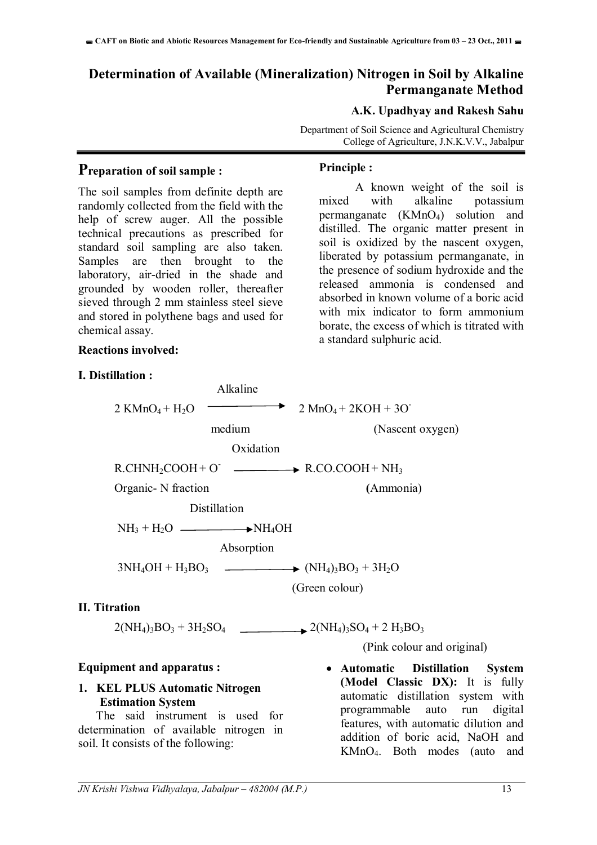### **Determination of Available (Mineralization) Nitrogen in Soil by Alkaline Permanganate Method**

#### **A.K. Upadhyay and Rakesh Sahu**

Department of Soil Science and Agricultural Chemistry College of Agriculture, J.N.K.V.V., Jabalpur

#### **Preparation of soil sample :**

The soil samples from definite depth are randomly collected from the field with the help of screw auger. All the possible technical precautions as prescribed for standard soil sampling are also taken. Samples are then brought to the laboratory, air-dried in the shade and grounded by wooden roller, thereafter sieved through 2 mm stainless steel sieve and stored in polythene bags and used for chemical assay.

#### **Reactions involved:**

#### **I. Distillation :**

#### **Principle :**

A known weight of the soil is mixed with alkaline potassium permanganate (KMnO4) solution and distilled. The organic matter present in soil is oxidized by the nascent oxygen, liberated by potassium permanganate, in the presence of sodium hydroxide and the released ammonia is condensed and absorbed in known volume of a boric acid with mix indicator to form ammonium borate, the excess of which is titrated with a standard sulphuric acid.

|                                      | medium       | (Nascent oxygen)                                             |
|--------------------------------------|--------------|--------------------------------------------------------------|
|                                      | Oxidation    |                                                              |
|                                      |              | $R.CHNH2COOH + O$ $\longrightarrow$ $R.CO.COOH + NH3$        |
| Organic - N fraction                 |              | (Ammonia)                                                    |
|                                      | Distillation |                                                              |
| $NH_3 + H_2O \longrightarrow NH_4OH$ |              |                                                              |
|                                      | Absorption   |                                                              |
|                                      |              | $3NH_4OH + H_3BO_3$ $\longrightarrow$ $(NH_4)_3BO_3 + 3H_2O$ |
|                                      |              | (Green colour)                                               |

 $2$  KMnO<sub>4</sub> + H<sub>2</sub>O  $\longrightarrow$   $2$  MnO<sub>4</sub> + 2KOH + 3O

Alkaline

#### **II. Titration**

 $2(NH_4)_3BO_3 + 3H_2SO_4$  2(NH<sub>4</sub>)<sub>3</sub>SO<sub>4</sub> + 2 H<sub>3</sub>BO<sub>3</sub>

# **Equipment and apparatus :**

#### **1. KEL PLUS Automatic Nitrogen Estimation System**

 The said instrument is used for determination of available nitrogen in soil. It consists of the following:

(Pink colour and original)

 **Automatic Distillation System (Model Classic DX):** It is fully automatic distillation system with programmable auto run digital features, with automatic dilution and addition of boric acid, NaOH and KMnO4. Both modes (auto and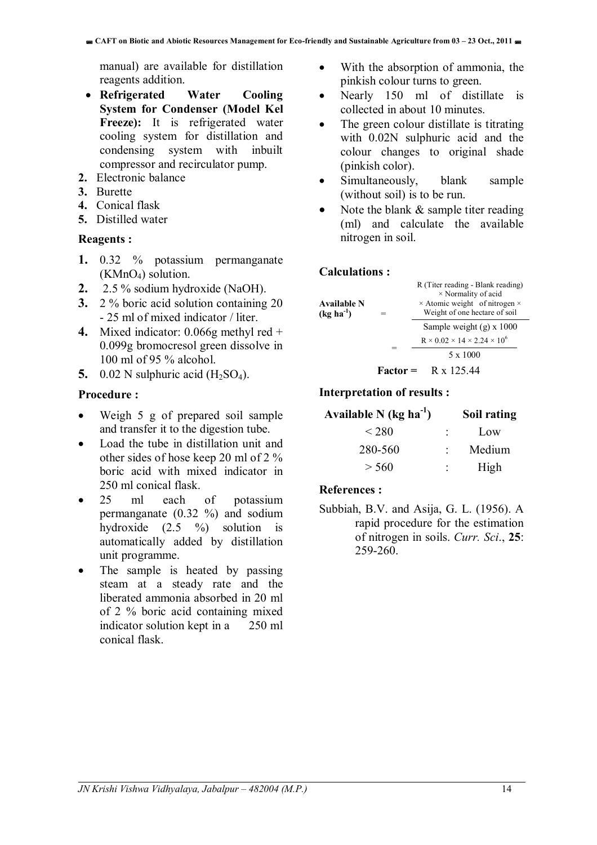manual) are available for distillation reagents addition.

- **Refrigerated Water Cooling System for Condenser (Model Kel**  Freeze): It is refrigerated water cooling system for distillation and condensing system with inbuilt compressor and recirculator pump.
- **2.** Electronic balance
- **3.** Burette
- **4.** Conical flask
- **5.** Distilled water

#### **Reagents :**

- **1.** 0.32 % potassium permanganate  $(KMnO<sub>4</sub>)$  solution.
- **2.** 2.5 % sodium hydroxide (NaOH).
- **3.** 2 % boric acid solution containing 20 - 25 ml of mixed indicator / liter.
- **4.** Mixed indicator: 0.066g methyl red + 0.099g bromocresol green dissolve in 100 ml of 95 % alcohol.
- **5.** 0.02 N sulphuric acid  $(H_2SO_4)$ .

#### **Procedure :**

- Weigh 5 g of prepared soil sample and transfer it to the digestion tube.
- Load the tube in distillation unit and other sides of hose keep 20 ml of 2 % boric acid with mixed indicator in 250 ml conical flask.
- 25 ml each of potassium permanganate (0.32 %) and sodium hydroxide (2.5 %) solution is automatically added by distillation unit programme.
- The sample is heated by passing steam at a steady rate and the liberated ammonia absorbed in 20 ml of 2 % boric acid containing mixed indicator solution kept in a 250 ml conical flask.
- With the absorption of ammonia, the pinkish colour turns to green.
- Nearly 150 ml of distillate is collected in about 10 minutes.
- The green colour distillate is titrating with 0.02N sulphuric acid and the colour changes to original shade (pinkish color).
- Simultaneously, blank sample (without soil) is to be run.
- Note the blank & sample titer reading (ml) and calculate the available nitrogen in soil.

#### **Calculations :**

| <b>Available N</b><br>$(kg ha^{-1})$ | R (Titer reading - Blank reading)<br>$\times$ Normality of acid<br>$\times$ Atomic weight of nitrogen $\times$<br>Weight of one hectare of soil |
|--------------------------------------|-------------------------------------------------------------------------------------------------------------------------------------------------|
|                                      | Sample weight $(g)$ x 1000                                                                                                                      |
|                                      | $R \times 0.02 \times 14 \times 2.24 \times 10^6$                                                                                               |
|                                      | 5 x 1000                                                                                                                                        |
|                                      | $Factor = R \times 125.44$                                                                                                                      |

#### **Interpretation of results :**

| Available N (kg ha $^{-1}$ ) |  | Soil rating |
|------------------------------|--|-------------|
| < 280                        |  | Low         |
| 280-560                      |  | Medium      |
| > 560                        |  | High        |

#### **References :**

Subbiah, B.V. and Asija, G. L. (1956). A rapid procedure for the estimation of nitrogen in soils. *Curr. Sci*., **25**: 259-260.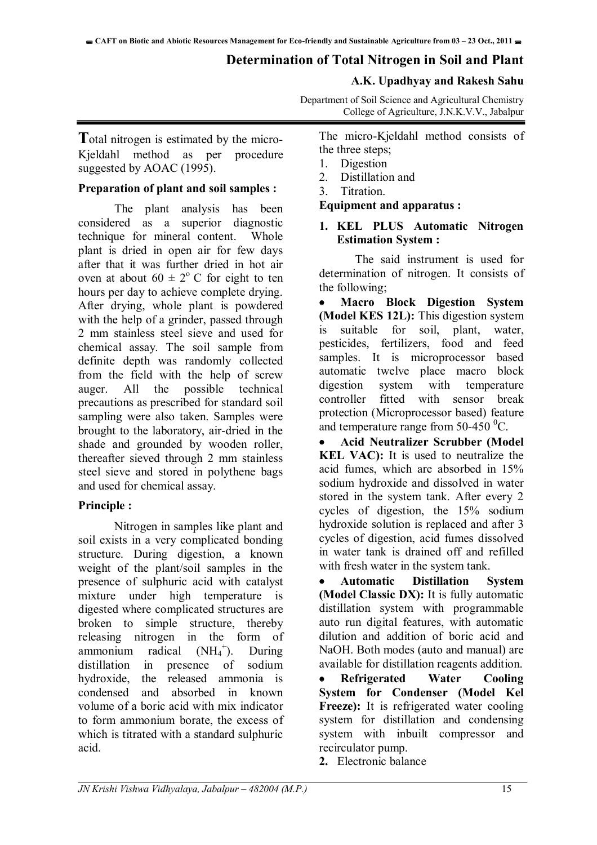### **Determination of Total Nitrogen in Soil and Plant**

#### **A.K. Upadhyay and Rakesh Sahu**

Department of Soil Science and Agricultural Chemistry College of Agriculture, J.N.K.V.V., Jabalpur

**T**otal nitrogen is estimated by the micro-Kjeldahl method as per procedure suggested by AOAC (1995).

#### **Preparation of plant and soil samples :**

The plant analysis has been considered as a superior diagnostic technique for mineral content. Whole plant is dried in open air for few days after that it was further dried in hot air oven at about  $60 \pm 2^{\circ}$  C for eight to ten hours per day to achieve complete drying. After drying, whole plant is powdered with the help of a grinder, passed through 2 mm stainless steel sieve and used for chemical assay. The soil sample from definite depth was randomly collected from the field with the help of screw auger. All the possible technical precautions as prescribed for standard soil sampling were also taken. Samples were brought to the laboratory, air-dried in the shade and grounded by wooden roller, thereafter sieved through 2 mm stainless steel sieve and stored in polythene bags and used for chemical assay.

#### **Principle :**

Nitrogen in samples like plant and soil exists in a very complicated bonding structure. During digestion, a known weight of the plant/soil samples in the presence of sulphuric acid with catalyst mixture under high temperature is digested where complicated structures are broken to simple structure, thereby releasing nitrogen in the form of ammonium radical  $(NH_4$ <sup>+</sup> ). During distillation in presence of sodium hydroxide, the released ammonia is condensed and absorbed in known volume of a boric acid with mix indicator to form ammonium borate, the excess of which is titrated with a standard sulphuric acid.

The micro-Kjeldahl method consists of the three steps;

- 1. Digestion
- 2. Distillation and
- 3. Titration.

**Equipment and apparatus :** 

#### **1. KEL PLUS Automatic Nitrogen Estimation System :**

The said instrument is used for determination of nitrogen. It consists of the following;

 **Macro Block Digestion System (Model KES 12L):** This digestion system suitable for soil, plant, water, pesticides, fertilizers, food and feed samples. It is microprocessor based automatic twelve place macro block digestion system with temperature controller fitted with sensor break protection (Microprocessor based) feature and temperature range from 50-450  $^{\circ}$ C.

 **Acid Neutralizer Scrubber (Model KEL VAC):** It is used to neutralize the acid fumes, which are absorbed in 15% sodium hydroxide and dissolved in water stored in the system tank. After every 2 cycles of digestion, the 15% sodium hydroxide solution is replaced and after 3 cycles of digestion, acid fumes dissolved in water tank is drained off and refilled with fresh water in the system tank.

 **Automatic Distillation System (Model Classic DX):** It is fully automatic distillation system with programmable auto run digital features, with automatic dilution and addition of boric acid and NaOH. Both modes (auto and manual) are available for distillation reagents addition.

 **Refrigerated Water Cooling System for Condenser (Model Kel**  Freeze): It is refrigerated water cooling system for distillation and condensing system with inbuilt compressor and recirculator pump.

**2.** Electronic balance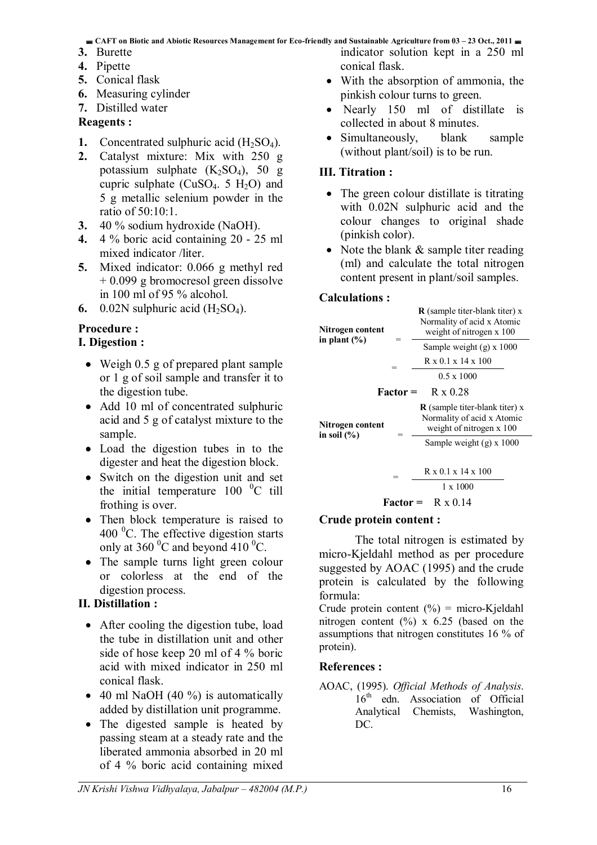**CAFT on Biotic and Abiotic Resources Management for Eco-friendly and Sustainable Agriculture from 03 – 23 Oct., 2011** 

- **3.** Burette
- **4.** Pipette
- **5.** Conical flask
- **6.** Measuring cylinder
- **7.** Distilled water

#### **Reagents :**

- **1.** Concentrated sulphuric acid  $(H_2SO_4)$ .
- **2.** Catalyst mixture: Mix with 250 g potassium sulphate  $(K_2SO_4)$ , 50 g cupric sulphate  $(CuSO<sub>4</sub>, 5 H<sub>2</sub>O)$  and 5 g metallic selenium powder in the ratio of 50:10:1.
- **3.** 40 % sodium hydroxide (NaOH).
- **4.** 4 % boric acid containing 20 25 ml mixed indicator /liter.
- **5.** Mixed indicator: 0.066 g methyl red + 0.099 g bromocresol green dissolve in 100 ml of 95 % alcohol.
- **6.** 0.02N sulphuric acid  $(H_2SO_4)$ .

#### **Procedure :**

#### **I. Digestion :**

- Weigh 0.5 g of prepared plant sample or 1 g of soil sample and transfer it to the digestion tube.
- Add 10 ml of concentrated sulphuric acid and 5 g of catalyst mixture to the sample.
- Load the digestion tubes in to the digester and heat the digestion block.
- Switch on the digestion unit and set the initial temperature  $100 \degree C$  till frothing is over.
- Then block temperature is raised to 400 $\mathrm{^{0}C}$ . The effective digestion starts only at 360 $\mathrm{^0C}$  and beyond 410 $\mathrm{^0C}$ .
- The sample turns light green colour or colorless at the end of the digestion process.

#### **II. Distillation :**

- After cooling the digestion tube, load the tube in distillation unit and other side of hose keep 20 ml of 4 % boric acid with mixed indicator in 250 ml conical flask.
- $\bullet$  40 ml NaOH (40 %) is automatically added by distillation unit programme.
- The digested sample is heated by passing steam at a steady rate and the liberated ammonia absorbed in 20 ml of 4 % boric acid containing mixed

indicator solution kept in a 250 ml conical flask.

- With the absorption of ammonia, the pinkish colour turns to green.
- Nearly 150 ml of distillate is collected in about 8 minutes.
- Simultaneously, blank sample (without plant/soil) is to be run.

#### **III. Titration :**

- The green colour distillate is titrating with 0.02N sulphuric acid and the colour changes to original shade (pinkish color).
- Note the blank  $&$  sample titer reading (ml) and calculate the total nitrogen content present in plant/soil samples.

#### **Calculations :**

| Nitrogen content                    | $\bf{R}$ (sample titer-blank titer) x<br>Normality of acid x Atomic<br>weight of nitrogen x 100 |
|-------------------------------------|-------------------------------------------------------------------------------------------------|
| in plant $(\% )$                    | Sample weight (g) x 1000                                                                        |
|                                     | $R \times 0.1 \times 14 \times 100$                                                             |
|                                     | $0.5 \times 1000$                                                                               |
|                                     | $Factor = R \times 0.28$                                                                        |
| Nitrogen content<br>in soil $(\% )$ | $\bf{R}$ (sample titer-blank titer) x<br>Normality of acid x Atomic<br>weight of nitrogen x 100 |
|                                     | Sample weight $(g)$ x 1000                                                                      |
|                                     |                                                                                                 |
|                                     | $R \times 0.1 \times 14 \times 100$                                                             |
|                                     | $1 \times 1000$                                                                                 |

#### **Factor =** R x 0.14

#### **Crude protein content :**

The total nitrogen is estimated by micro-Kjeldahl method as per procedure suggested by AOAC (1995) and the crude protein is calculated by the following formula:

Crude protein content  $(\% )$  = micro-Kjeldahl nitrogen content  $(\%)$  x 6.25 (based on the assumptions that nitrogen constitutes 16 % of protein).

#### **References :**

#### AOAC, (1995). *Official Methods of Analysis*. 16<sup>th</sup> edn. Association of Official Analytical Chemists, Washington, DC.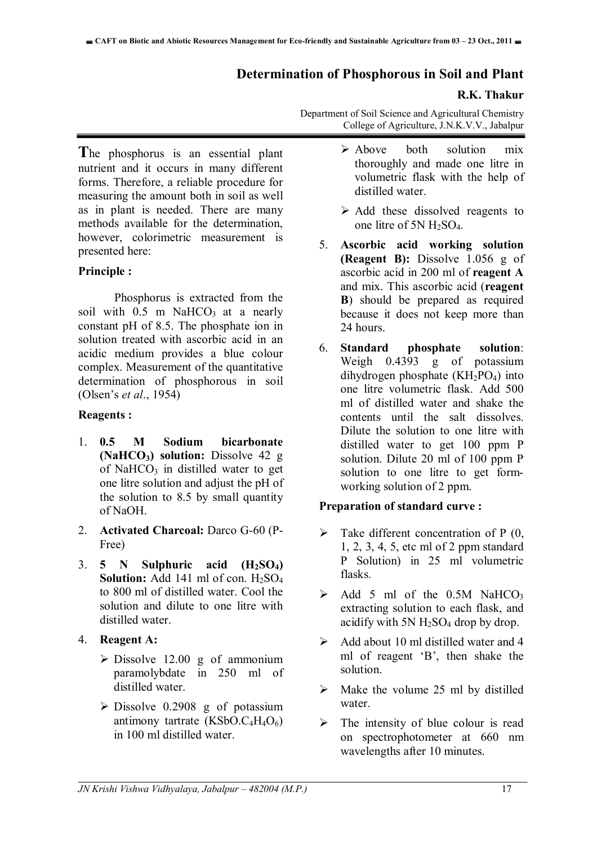#### **Determination of Phosphorous in Soil and Plant**

#### **R.K. Thakur**

Department of Soil Science and Agricultural Chemistry College of Agriculture, J.N.K.V.V., Jabalpur

**T**he phosphorus is an essential plant nutrient and it occurs in many different forms. Therefore, a reliable procedure for measuring the amount both in soil as well as in plant is needed. There are many methods available for the determination, however, colorimetric measurement is presented here:

#### **Principle :**

Phosphorus is extracted from the soil with  $0.5$  m NaHCO<sub>3</sub> at a nearly constant pH of 8.5. The phosphate ion in solution treated with ascorbic acid in an acidic medium provides a blue colour complex. Measurement of the quantitative determination of phosphorous in soil (Olsen's *et al*., 1954)

#### **Reagents :**

- 1. **0.5 M Sodium bicarbonate (NaHCO3) solution:** Dissolve 42 g of NaHCO<sub>3</sub> in distilled water to get one litre solution and adjust the pH of the solution to 8.5 by small quantity of NaOH.
- 2. **Activated Charcoal:** Darco G-60 (P-Free)
- 3. **5 N Sulphuric acid (H2SO4) Solution:** Add 141 ml of con.  $H_2SO_4$ to 800 ml of distilled water. Cool the solution and dilute to one litre with distilled water.
- 4. **Reagent A:**
	- $\triangleright$  Dissolve 12.00 g of ammonium paramolybdate in 250 ml of distilled water.
	- $\triangleright$  Dissolve 0.2908 g of potassium antimony tartrate  $(KSbO.C<sub>4</sub>H<sub>4</sub>O<sub>6</sub>)$ in 100 ml distilled water.
- $\triangleright$  Above both solution mix thoroughly and made one litre in volumetric flask with the help of distilled water.
- $\triangleright$  Add these dissolved reagents to one litre of 5N H2SO4.
- 5. **Ascorbic acid working solution (Reagent B):** Dissolve 1.056 g of ascorbic acid in 200 ml of **reagent A** and mix. This ascorbic acid (**reagent B**) should be prepared as required because it does not keep more than 24 hours.
- 6. **Standard phosphate solution**: Weigh 0.4393 g of potassium dihydrogen phosphate  $(KH_2PO_4)$  into one litre volumetric flask. Add 500 ml of distilled water and shake the contents until the salt dissolves. Dilute the solution to one litre with distilled water to get 100 ppm P solution. Dilute 20 ml of 100 ppm P solution to one litre to get formworking solution of 2 ppm.

#### **Preparation of standard curve :**

- $\triangleright$  Take different concentration of P (0, 1, 2, 3, 4, 5, etc ml of 2 ppm standard P Solution) in 25 ml volumetric flasks.
- $\geq$  Add 5 ml of the 0.5M NaHCO<sub>3</sub> extracting solution to each flask, and acidify with 5N  $H_2SO_4$  drop by drop.
- $\triangleright$  Add about 10 ml distilled water and 4 ml of reagent 'B', then shake the solution.
- $\triangleright$  Make the volume 25 ml by distilled water.
- $\triangleright$  The intensity of blue colour is read on spectrophotometer at 660 nm wavelengths after 10 minutes.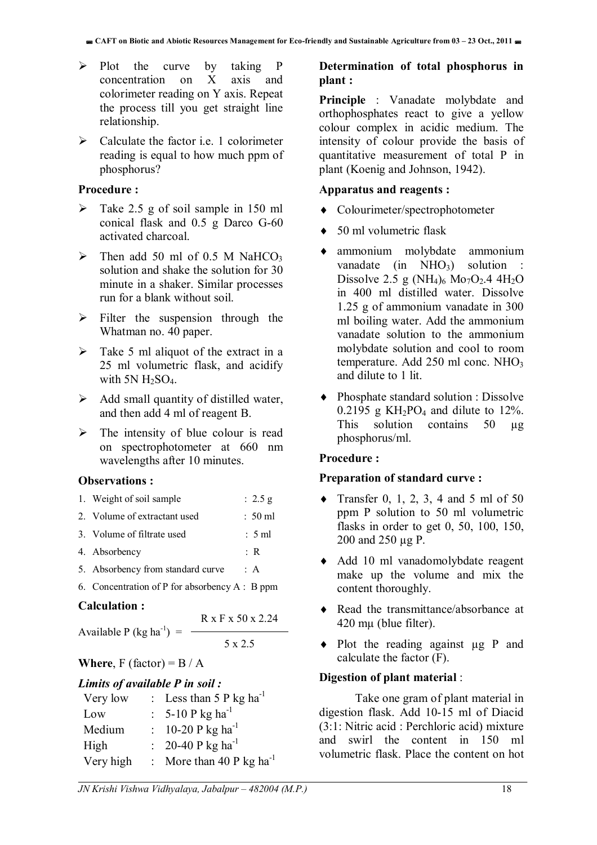- $\triangleright$  Plot the curve by taking P concentration on X axis and colorimeter reading on Y axis. Repeat the process till you get straight line relationship.
- $\triangleright$  Calculate the factor i.e. 1 colorimeter reading is equal to how much ppm of phosphorus?

#### **Procedure :**

- $\triangleright$  Take 2.5 g of soil sample in 150 ml conical flask and 0.5 g Darco G-60 activated charcoal.
- $\triangleright$  Then add 50 ml of 0.5 M NaHCO<sub>3</sub> solution and shake the solution for 30 minute in a shaker. Similar processes run for a blank without soil.
- $\triangleright$  Filter the suspension through the Whatman no. 40 paper.
- $\triangleright$  Take 5 ml aliquot of the extract in a 25 ml volumetric flask, and acidify with  $5N H_2SO_4$ .
- $\triangleright$  Add small quantity of distilled water, and then add 4 ml of reagent B.
- $\triangleright$  The intensity of blue colour is read on spectrophotometer at 660 nm wavelengths after 10 minutes.

#### **Observations :**

| 1. Weight of soil sample          | : $2.5 g$            |
|-----------------------------------|----------------------|
| 2. Volume of extractant used      | $: 50 \,\mathrm{ml}$ |
| 3. Volume of filtrate used        | : 5ml                |
| 4. Absorbency                     | $\cdot$ R            |
| 5. Absorbency from standard curve | $\cdot$ A            |

6. Concentration of P for absorbency A : B ppm

#### **Calculation :**

R x F x 50 x 2.24

5 x 2.5

# Available P (kg ha<sup>-1</sup>) =  $-$

# **Where**,  $F$  (factor) =  $B / A$

| Limits of available P in soil: |  |                                     |  |  |
|--------------------------------|--|-------------------------------------|--|--|
| Very low                       |  | : Less than 5 P kg ha <sup>-1</sup> |  |  |
| Low                            |  | : 5-10 P kg ha <sup>-1</sup>        |  |  |
| Medium                         |  | : 10-20 P kg ha <sup>-1</sup>       |  |  |
| High                           |  | : 20-40 P kg ha <sup>-1</sup>       |  |  |
| Very high                      |  | : More than 40 P kg $ha^{-1}$       |  |  |

#### **Determination of total phosphorus in plant :**

**Principle** : Vanadate molybdate and orthophosphates react to give a yellow colour complex in acidic medium. The intensity of colour provide the basis of quantitative measurement of total P in plant (Koenig and Johnson, 1942).

#### **Apparatus and reagents :**

- Colourimeter/spectrophotometer
- ◆ 50 ml volumetric flask
- ammonium molybdate ammonium vanadate (in  $NHO<sub>3</sub>$ ) solution : Dissolve 2.5 g (NH<sub>4</sub>)<sub>6</sub> Mo<sub>7</sub>O<sub>2</sub>.4 4H<sub>2</sub>O in 400 ml distilled water. Dissolve 1.25 g of ammonium vanadate in 300 ml boiling water. Add the ammonium vanadate solution to the ammonium molybdate solution and cool to room temperature. Add 250 ml conc. NHO<sub>3</sub> and dilute to 1 lit.
- Phosphate standard solution : Dissolve  $0.2195$  g KH<sub>2</sub>PO<sub>4</sub> and dilute to 12%. This solution contains 50 µg phosphorus/ml.

#### **Procedure :**

#### **Preparation of standard curve :**

- Transfer 0, 1, 2, 3, 4 and 5 ml of 50 ppm P solution to 50 ml volumetric flasks in order to get 0, 50, 100, 150, 200 and 250 µg P.
- Add 10 ml vanadomolybdate reagent make up the volume and mix the content thoroughly.
- Read the transmittance/absorbance at 420 mµ (blue filter).
- Plot the reading against ug P and calculate the factor (F).

#### **Digestion of plant material** :

Take one gram of plant material in digestion flask. Add 10-15 ml of Diacid (3:1: Nitric acid : Perchloric acid) mixture and swirl the content in 150 ml volumetric flask. Place the content on hot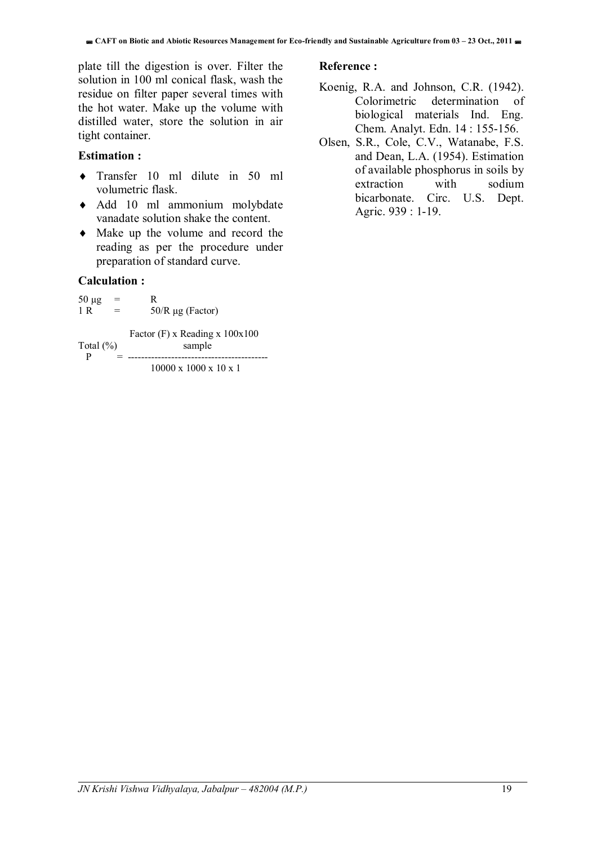plate till the digestion is over. Filter the solution in 100 ml conical flask, wash the residue on filter paper several times with the hot water. Make up the volume with distilled water, store the solution in air tight container.

#### **Estimation :**

- Transfer 10 ml dilute in 50 ml volumetric flask.
- Add 10 ml ammonium molybdate vanadate solution shake the content.
- Make up the volume and record the reading as per the procedure under preparation of standard curve.

#### **Calculation :**

| $50 \mu g$<br>1 R  | R<br>$50/R \mu g$ (Factor)                   |
|--------------------|----------------------------------------------|
| Total $(\% )$<br>р | Factor $(F)$ x Reading x $100x100$<br>sample |
|                    | $10000 \times 1000 \times 10 \times 1$       |

#### **Reference :**

- Koenig, R.A. and Johnson, C.R. (1942). Colorimetric determination of biological materials Ind. Eng. Chem. Analyt. Edn. 14 : 155-156.
- Olsen, S.R., Cole, C.V., Watanabe, F.S. and Dean, L.A. (1954). Estimation of available phosphorus in soils by extraction with sodium bicarbonate. Circ. U.S. Dept. Agric. 939 : 1-19.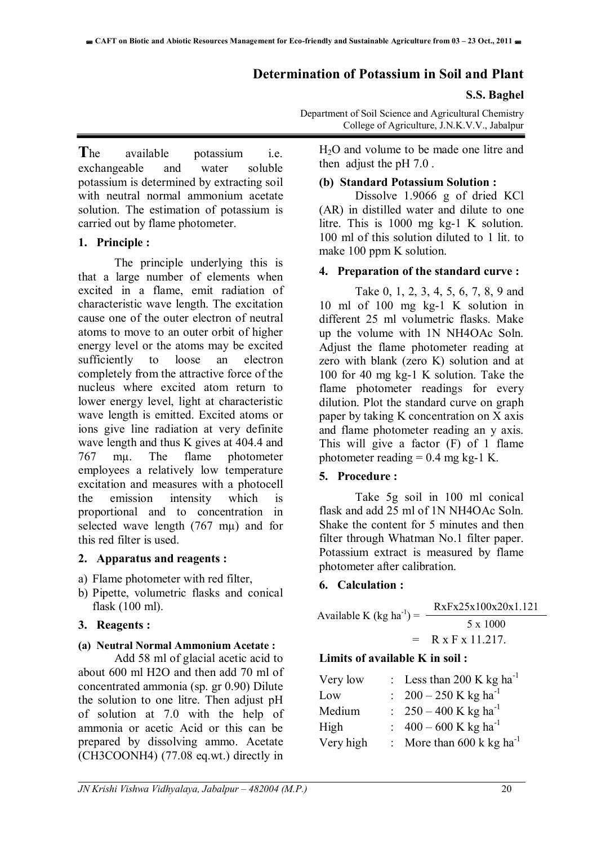#### **Determination of Potassium in Soil and Plant**

#### **S.S. Baghel**

**T**he available potassium i.e. exchangeable and water soluble potassium is determined by extracting soil with neutral normal ammonium acetate solution. The estimation of potassium is carried out by flame photometer.

#### **1. Principle :**

The principle underlying this is that a large number of elements when excited in a flame, emit radiation of characteristic wave length. The excitation cause one of the outer electron of neutral atoms to move to an outer orbit of higher energy level or the atoms may be excited sufficiently to loose an electron completely from the attractive force of the nucleus where excited atom return to lower energy level, light at characteristic wave length is emitted. Excited atoms or ions give line radiation at very definite wave length and thus K gives at 404.4 and 767 mµ. The flame photometer employees a relatively low temperature excitation and measures with a photocell the emission intensity which is proportional and to concentration in selected wave length (767 mµ) and for this red filter is used.

#### **2. Apparatus and reagents :**

- a) Flame photometer with red filter,
- b) Pipette, volumetric flasks and conical flask (100 ml).

#### **3. Reagents :**

#### **(a) Neutral Normal Ammonium Acetate :**

Add 58 ml of glacial acetic acid to about 600 ml H2O and then add 70 ml of concentrated ammonia (sp. gr 0.90) Dilute the solution to one litre. Then adjust pH of solution at 7.0 with the help of ammonia or acetic Acid or this can be prepared by dissolving ammo. Acetate (CH3COONH4) (77.08 eq.wt.) directly in

Department of Soil Science and Agricultural Chemistry College of Agriculture, J.N.K.V.V., Jabalpur

H2O and volume to be made one litre and then adjust the pH 7.0 .

#### **(b) Standard Potassium Solution :**

Dissolve 1.9066 g of dried KCl (AR) in distilled water and dilute to one litre. This is 1000 mg kg-1 K solution. 100 ml of this solution diluted to 1 lit. to make 100 ppm K solution.

#### **4. Preparation of the standard curve :**

Take 0, 1, 2, 3, 4, 5, 6, 7, 8, 9 and 10 ml of 100 mg kg-1 K solution in different 25 ml volumetric flasks. Make up the volume with 1N NH4OAc Soln. Adjust the flame photometer reading at zero with blank (zero K) solution and at 100 for 40 mg kg-1 K solution. Take the flame photometer readings for every dilution. Plot the standard curve on graph paper by taking K concentration on X axis and flame photometer reading an y axis. This will give a factor (F) of 1 flame photometer reading  $= 0.4$  mg kg-1 K.

#### **5. Procedure :**

Take 5g soil in 100 ml conical flask and add 25 ml of 1N NH4OAc Soln. Shake the content for 5 minutes and then filter through Whatman No.1 filter paper. Potassium extract is measured by flame photometer after calibration.

#### **6. Calculation :**

| Available K (kg ha <sup>-1</sup> ) = | RxFx25x100x20x1.121 |
|--------------------------------------|---------------------|
|                                      | $5 \times 1000$     |
|                                      | $=$ R x F x 11.217. |

#### **Limits of available K in soil :**

| : Less than 200 K kg ha <sup>-1</sup> |
|---------------------------------------|
| : $200 - 250$ K kg ha <sup>-1</sup>   |
| : $250 - 400$ K kg ha <sup>-1</sup>   |
| $400 - 600$ K kg ha <sup>-1</sup>     |
| : More than 600 k kg ha <sup>-1</sup> |
|                                       |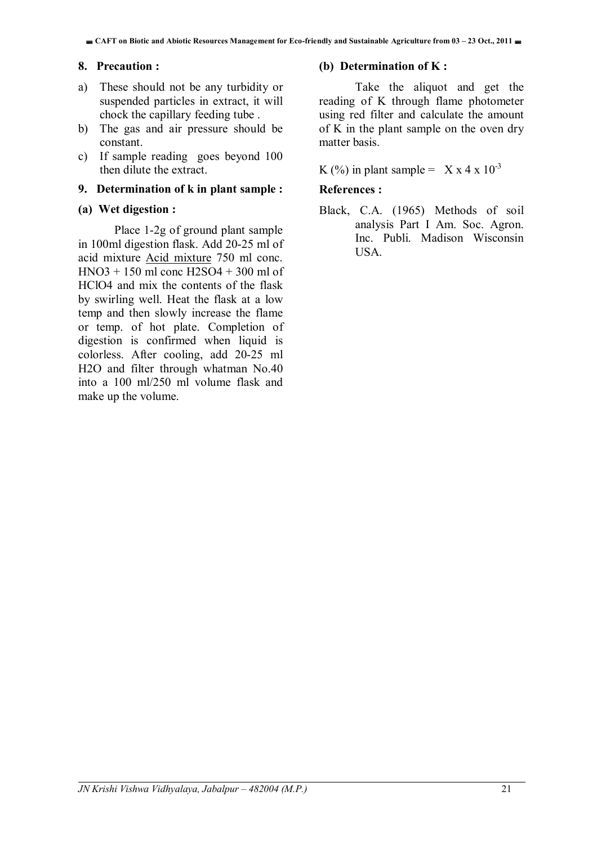#### **8. Precaution :**

- a) These should not be any turbidity or suspended particles in extract, it will chock the capillary feeding tube .
- b) The gas and air pressure should be constant.
- c) If sample reading goes beyond 100 then dilute the extract.

#### **9. Determination of k in plant sample :**

#### **(a) Wet digestion :**

Place 1-2g of ground plant sample in 100ml digestion flask. Add 20-25 ml of acid mixture Acid mixture 750 ml conc. HNO3 + 150 ml conc H2SO4 + 300 ml of HClO4 and mix the contents of the flask by swirling well. Heat the flask at a low temp and then slowly increase the flame or temp. of hot plate. Completion of digestion is confirmed when liquid is colorless. After cooling, add 20-25 ml H2O and filter through whatman No.40 into a 100 ml/250 ml volume flask and make up the volume.

#### **(b) Determination of K :**

Take the aliquot and get the reading of K through flame photometer using red filter and calculate the amount of K in the plant sample on the oven dry matter basis.

#### K (%) in plant sample =  $X \times 4 \times 10^{-3}$

#### **References :**

Black, C.A. (1965) Methods of soil analysis Part I Am. Soc. Agron. Inc. Publi. Madison Wisconsin **USA**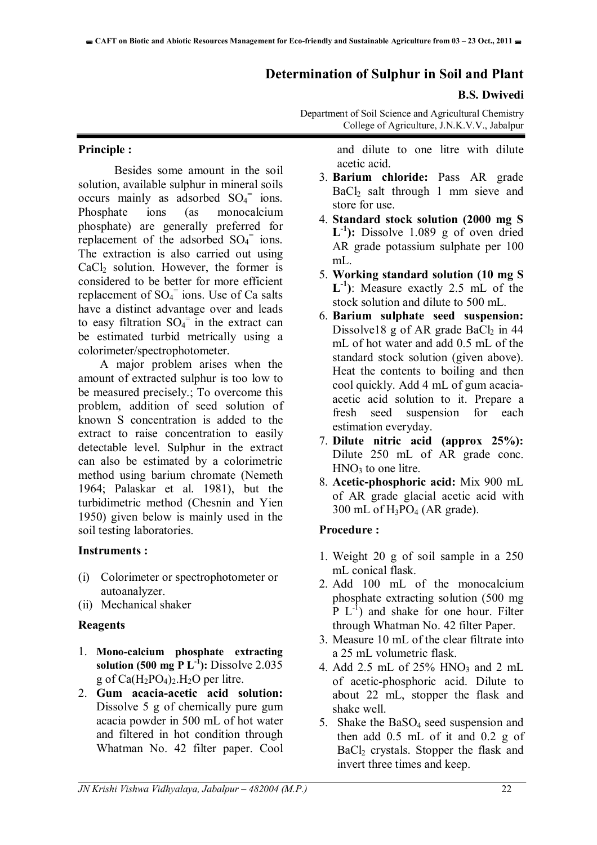#### **Determination of Sulphur in Soil and Plant**

#### **B.S. Dwivedi**

Department of Soil Science and Agricultural Chemistry College of Agriculture, J.N.K.V.V., Jabalpur

#### **Principle :**

 Besides some amount in the soil solution, available sulphur in mineral soils occurs mainly as adsorbed  $SO_4$ <sup>=</sup> ions. Phosphate ions (as monocalcium phosphate) are generally preferred for replacement of the adsorbed  $SO_4$ <sup>=</sup> ions. The extraction is also carried out using  $CaCl<sub>2</sub>$  solution. However, the former is considered to be better for more efficient replacement of  $SO_4$ <sup>=</sup> ions. Use of Ca salts have a distinct advantage over and leads to easy filtration  $SO_4$ <sup>=</sup> in the extract can be estimated turbid metrically using a colorimeter/spectrophotometer.

A major problem arises when the amount of extracted sulphur is too low to be measured precisely.; To overcome this problem, addition of seed solution of known S concentration is added to the extract to raise concentration to easily detectable level. Sulphur in the extract can also be estimated by a colorimetric method using barium chromate (Nemeth 1964; Palaskar et al. 1981), but the turbidimetric method (Chesnin and Yien 1950) given below is mainly used in the soil testing laboratories.

#### **Instruments :**

- (i) Colorimeter or spectrophotometer or autoanalyzer.
- (ii) Mechanical shaker

#### **Reagents**

- 1. **Mono-calcium phosphate extracting solution (500 mg P**  $L^{-1}$ **):** Dissolve 2.035 g of  $Ca(H_2PO_4)$ . H<sub>2</sub>O per litre.
- 2. **Gum acacia-acetic acid solution:** Dissolve 5 g of chemically pure gum acacia powder in 500 mL of hot water and filtered in hot condition through Whatman No. 42 filter paper. Cool

and dilute to one litre with dilute acetic acid.

- 3. **Barium chloride:** Pass AR grade BaCl2 salt through 1 mm sieve and store for use.
- 4. **Standard stock solution (2000 mg S**   $L^{-1}$ : Dissolve 1.089 g of oven dried AR grade potassium sulphate per 100 mL.
- 5. **Working standard solution (10 mg S L-1)**: Measure exactly 2.5 mL of the stock solution and dilute to 500 mL.
- 6. **Barium sulphate seed suspension:** Dissolve18 g of AR grade BaCl<sub>2</sub> in  $44$ mL of hot water and add 0.5 mL of the standard stock solution (given above). Heat the contents to boiling and then cool quickly. Add 4 mL of gum acaciaacetic acid solution to it. Prepare a fresh seed suspension for each estimation everyday.
- 7. **Dilute nitric acid (approx 25%):** Dilute 250 mL of AR grade conc.  $HNO<sub>3</sub>$  to one litre.
- 8. **Acetic-phosphoric acid:** Mix 900 mL of AR grade glacial acetic acid with  $300$  mL of  $H_3PO_4$  (AR grade).

#### **Procedure :**

- 1. Weight 20 g of soil sample in a 250 mL conical flask.
- 2. Add 100 mL of the monocalcium phosphate extracting solution (500 mg  $P L^{-1}$  and shake for one hour. Filter through Whatman No. 42 filter Paper.
- 3. Measure 10 mL of the clear filtrate into a 25 mL volumetric flask.
- 4. Add 2.5 mL of  $25\%$  HNO<sub>3</sub> and 2 mL of acetic-phosphoric acid. Dilute to about 22 mL, stopper the flask and shake well.
- 5. Shake the BaSO4 seed suspension and then add 0.5 mL of it and 0.2 g of BaCl2 crystals. Stopper the flask and invert three times and keep.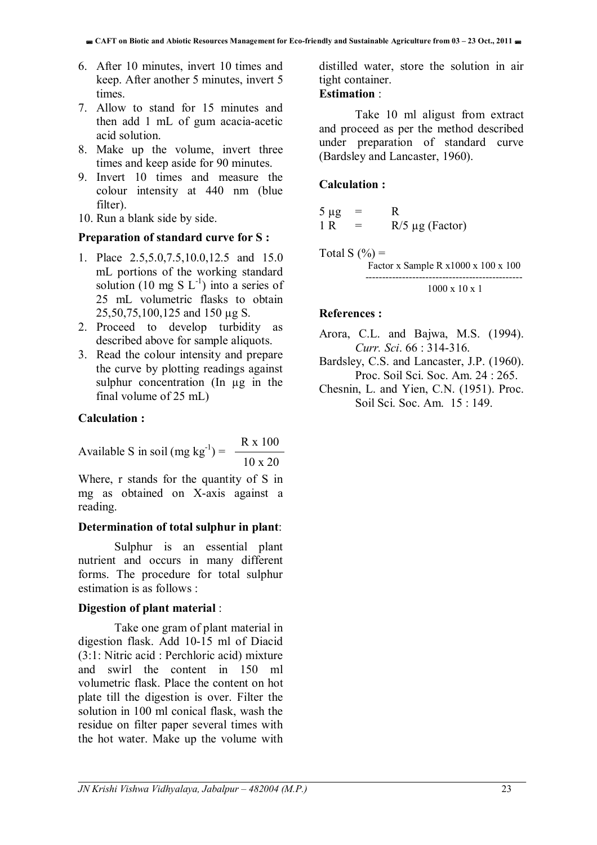- 6. After 10 minutes, invert 10 times and keep. After another 5 minutes, invert 5 times.
- 7. Allow to stand for 15 minutes and then add 1 mL of gum acacia-acetic acid solution.
- 8. Make up the volume, invert three times and keep aside for 90 minutes.
- 9. Invert 10 times and measure the colour intensity at 440 nm (blue filter).
- 10. Run a blank side by side.

#### **Preparation of standard curve for S :**

- 1. Place 2.5,5.0,7.5,10.0,12.5 and 15.0 mL portions of the working standard solution (10 mg S  $L^{-1}$ ) into a series of 25 mL volumetric flasks to obtain 25,50,75,100,125 and 150 µg S.
- 2. Proceed to develop turbidity as described above for sample aliquots.
- 3. Read the colour intensity and prepare the curve by plotting readings against sulphur concentration (In µg in the final volume of 25 mL)

#### **Calculation :**

Available S in soil (mg kg<sup>-1</sup>) =  $\frac{R x 100}{\sqrt{1 - x^2}}$ 10 x 20

Where, r stands for the quantity of S in mg as obtained on X-axis against a reading.

#### **Determination of total sulphur in plant**:

Sulphur is an essential plant nutrient and occurs in many different forms. The procedure for total sulphur estimation is as follows :

#### **Digestion of plant material** :

Take one gram of plant material in digestion flask. Add 10-15 ml of Diacid (3:1: Nitric acid : Perchloric acid) mixture and swirl the content in 150 ml volumetric flask. Place the content on hot plate till the digestion is over. Filter the solution in 100 ml conical flask, wash the residue on filter paper several times with the hot water. Make up the volume with distilled water, store the solution in air tight container.

#### **Estimation** :

Take 10 ml aligust from extract and proceed as per the method described under preparation of standard curve (Bardsley and Lancaster, 1960).

#### **Calculation :**

$$
5 \mu g = R
$$
  
1 R = R/5 \mu g (Factor)

Total S  $(\% )$  = Factor x Sample R x1000 x 100 x 100 ----------------------------------------------- 1000 x 10 x 1

#### **References :**

- Arora, C.L. and Bajwa, M.S. (1994). *Curr. Sci*. 66 : 314-316.
- Bardsley, C.S. and Lancaster, J.P. (1960). Proc. Soil Sci. Soc. Am. 24 : 265.
- Chesnin, L. and Yien, C.N. (1951). Proc. Soil Sci. Soc. Am. 15 : 149.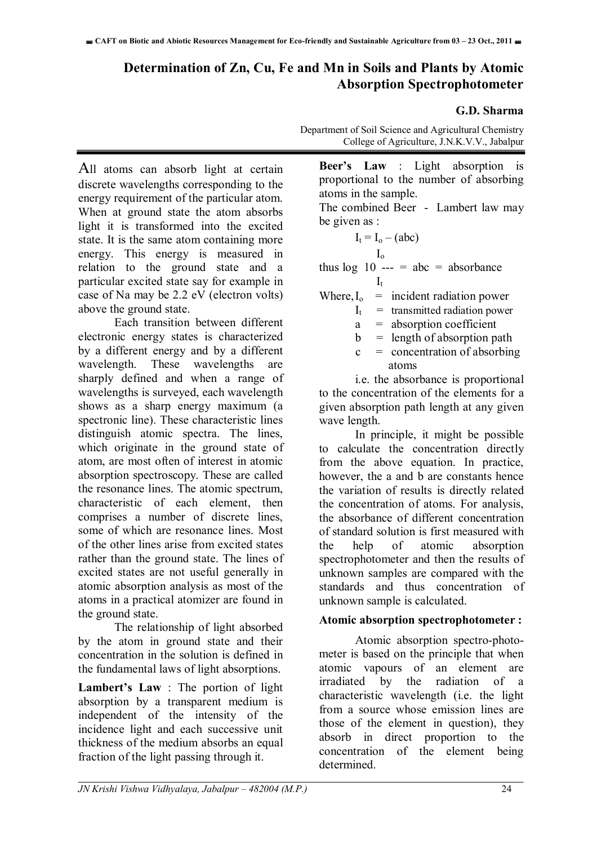## **Determination of Zn, Cu, Fe and Mn in Soils and Plants by Atomic Absorption Spectrophotometer**

#### **G.D. Sharma**

All atoms can absorb light at certain discrete wavelengths corresponding to the energy requirement of the particular atom. When at ground state the atom absorbs light it is transformed into the excited state. It is the same atom containing more energy. This energy is measured in relation to the ground state and a particular excited state say for example in case of Na may be 2.2 eV (electron volts) above the ground state.

Each transition between different electronic energy states is characterized by a different energy and by a different wavelength. These wavelengths are sharply defined and when a range of wavelengths is surveyed, each wavelength shows as a sharp energy maximum (a spectronic line). These characteristic lines distinguish atomic spectra. The lines, which originate in the ground state of atom, are most often of interest in atomic absorption spectroscopy. These are called the resonance lines. The atomic spectrum, characteristic of each element, then comprises a number of discrete lines, some of which are resonance lines. Most of the other lines arise from excited states rather than the ground state. The lines of excited states are not useful generally in atomic absorption analysis as most of the atoms in a practical atomizer are found in the ground state.

The relationship of light absorbed by the atom in ground state and their concentration in the solution is defined in the fundamental laws of light absorptions.

**Lambert's Law** : The portion of light absorption by a transparent medium is independent of the intensity of the incidence light and each successive unit thickness of the medium absorbs an equal fraction of the light passing through it.

Department of Soil Science and Agricultural Chemistry College of Agriculture, J.N.K.V.V., Jabalpur

**Beer's Law** : Light absorption is proportional to the number of absorbing atoms in the sample.

The combined Beer - Lambert law may be given as :

$$
I_t = I_o - (abc)
$$

Io

thus  $\log 10$  --- = abc = absorbance  $I_t$ 

| Where, $I_0$ | $=$ | incident radiation power        |
|--------------|-----|---------------------------------|
|              |     | $=$ transmitted radiation power |

 $a =$  absorption coefficient

 $b =$  length of absorption path

 $c =$  concentration of absorbing atoms

 i.e. the absorbance is proportional to the concentration of the elements for a given absorption path length at any given wave length.

In principle, it might be possible to calculate the concentration directly from the above equation. In practice, however, the a and  $\overline{b}$  are constants hence the variation of results is directly related the concentration of atoms. For analysis, the absorbance of different concentration of standard solution is first measured with the help of atomic absorption spectrophotometer and then the results of unknown samples are compared with the standards and thus concentration of unknown sample is calculated.

#### **Atomic absorption spectrophotometer :**

Atomic absorption spectro-photometer is based on the principle that when atomic vapours of an element are irradiated by the radiation of a characteristic wavelength (i.e. the light from a source whose emission lines are those of the element in question), they absorb in direct proportion to the concentration of the element being determined.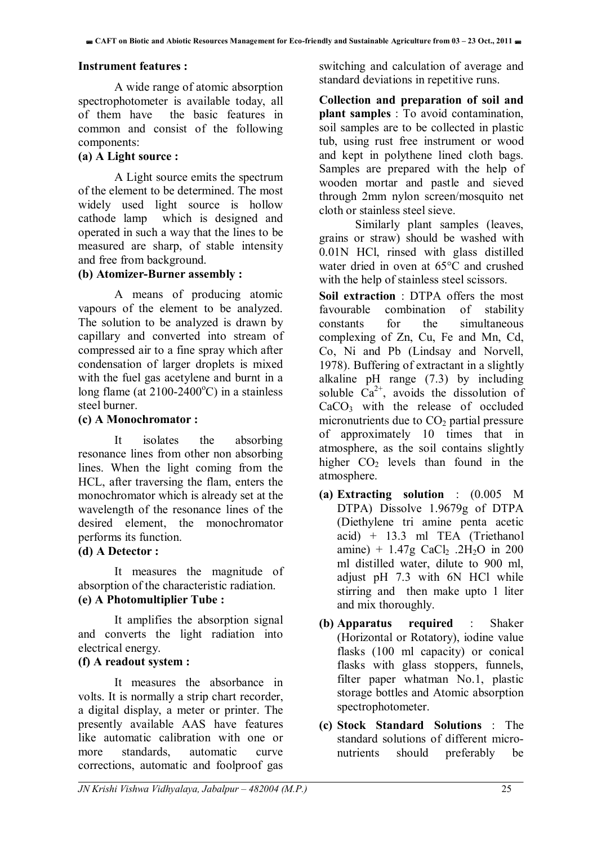#### **Instrument features :**

A wide range of atomic absorption spectrophotometer is available today, all of them have the basic features in common and consist of the following components:

#### **(a) A Light source :**

A Light source emits the spectrum of the element to be determined. The most widely used light source is hollow cathode lamp which is designed and operated in such a way that the lines to be measured are sharp, of stable intensity and free from background.

#### **(b) Atomizer-Burner assembly :**

A means of producing atomic vapours of the element to be analyzed. The solution to be analyzed is drawn by capillary and converted into stream of compressed air to a fine spray which after condensation of larger droplets is mixed with the fuel gas acetylene and burnt in a long flame (at  $2100-2400$ °C) in a stainless steel burner.

#### **(c) A Monochromator :**

 It isolates the absorbing resonance lines from other non absorbing lines. When the light coming from the HCL, after traversing the flam, enters the monochromator which is already set at the wavelength of the resonance lines of the desired element, the monochromator performs its function.

#### **(d) A Detector :**

 It measures the magnitude of absorption of the characteristic radiation. **(e) A Photomultiplier Tube :** 

 It amplifies the absorption signal and converts the light radiation into electrical energy.

#### **(f) A readout system :**

It measures the absorbance in volts. It is normally a strip chart recorder, a digital display, a meter or printer. The presently available AAS have features like automatic calibration with one or more standards, automatic curve corrections, automatic and foolproof gas

switching and calculation of average and standard deviations in repetitive runs.

**Collection and preparation of soil and plant samples** : To avoid contamination, soil samples are to be collected in plastic tub, using rust free instrument or wood and kept in polythene lined cloth bags. Samples are prepared with the help of wooden mortar and pastle and sieved through 2mm nylon screen/mosquito net cloth or stainless steel sieve.

Similarly plant samples (leaves, grains or straw) should be washed with 0.01N HCl, rinsed with glass distilled water dried in oven at 65°C and crushed with the help of stainless steel scissors.

**Soil extraction** : DTPA offers the most favourable combination of stability constants for the simultaneous complexing of Zn, Cu, Fe and Mn, Cd, Co, Ni and Pb (Lindsay and Norvell, 1978). Buffering of extractant in a slightly alkaline pH range (7.3) by including soluble  $Ca^{2+}$ , avoids the dissolution of  $CaCO<sub>3</sub>$  with the release of occluded micronutrients due to  $CO<sub>2</sub>$  partial pressure of approximately 10 times that in atmosphere, as the soil contains slightly higher  $CO<sub>2</sub>$  levels than found in the atmosphere.

- **(a) Extracting solution** : (0.005 M DTPA) Dissolve 1.9679g of DTPA (Diethylene tri amine penta acetic acid) + 13.3 ml TEA (Triethanol amine) +  $1.47g$  CaCl<sub>2</sub> .2H<sub>2</sub>O in 200 ml distilled water, dilute to 900 ml, adjust pH 7.3 with 6N HCl while stirring and then make upto 1 liter and mix thoroughly.
- **(b) Apparatus required** : Shaker (Horizontal or Rotatory), iodine value flasks (100 ml capacity) or conical flasks with glass stoppers, funnels, filter paper whatman No.1, plastic storage bottles and Atomic absorption spectrophotometer.
- **(c) Stock Standard Solutions** : The standard solutions of different micronutrients should preferably be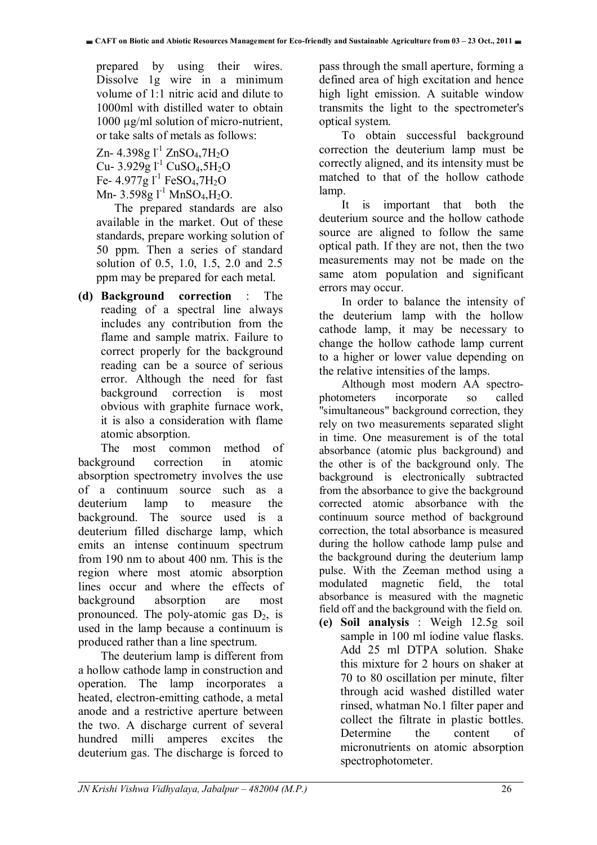prepared by using their wires. Dissolve 1g wire in a minimum volume of 1:1 nitric acid and dilute to 1000ml with distilled water to obtain 1000 µg/ml solution of micro-nutrient, or take salts of metals as follows:

Zn- 4.398g  $l^{-1}$  ZnSO<sub>4</sub>,7H<sub>2</sub>O Cu- 3.929g  $l^{-1}$  CuSO<sub>4</sub>,5H<sub>2</sub>O Fe-  $4.977g1^{-1}$  FeSO<sub>4</sub>,7H<sub>2</sub>O Mn-  $3.598g1^{-1}$  MnSO<sub>4</sub>, H<sub>2</sub>O.

 The prepared standards are also available in the market. Out of these standards, prepare working solution of 50 ppm. Then a series of standard solution of 0.5, 1.0, 1.5, 2.0 and 2.5 ppm may be prepared for each metal.

**(d) Background correction** : The reading of a spectral line always includes any contribution from the flame and sample matrix. Failure to correct properly for the background reading can be a source of serious error. Although the need for fast background correction is most obvious with graphite furnace work, it is also a consideration with flame atomic absorption.

The most common method of background correction in atomic absorption spectrometry involves the use of a continuum source such as a deuterium lamp to measure the background. The source used is a deuterium filled discharge lamp, which emits an intense continuum spectrum from 190 nm to about 400 nm. This is the region where most atomic absorption lines occur and where the effects of background absorption are most pronounced. The poly-atomic gas  $D_2$ , is used in the lamp because a continuum is produced rather than a line spectrum.

The deuterium lamp is different from a hollow cathode lamp in construction and operation. The lamp incorporates a heated, electron-emitting cathode, a metal anode and a restrictive aperture between the two. A discharge current of several hundred milli amperes excites the deuterium gas. The discharge is forced to

pass through the small aperture, forming a defined area of high excitation and hence high light emission. A suitable window transmits the light to the spectrometer's optical system.

To obtain successful background correction the deuterium lamp must be correctly aligned, and its intensity must be matched to that of the hollow cathode lamp.

It is important that both the deuterium source and the hollow cathode source are aligned to follow the same optical path. If they are not, then the two measurements may not be made on the same atom population and significant errors may occur.

In order to balance the intensity of the deuterium lamp with the hollow cathode lamp, it may be necessary to change the hollow cathode lamp current to a higher or lower value depending on the relative intensities of the lamps.

Although most modern AA spectrophotometers incorporate so called "simultaneous" background correction, they rely on two measurements separated slight in time. One measurement is of the total absorbance (atomic plus background) and the other is of the background only. The background is electronically subtracted from the absorbance to give the background corrected atomic absorbance with the continuum source method of background correction, the total absorbance is measured during the hollow cathode lamp pulse and the background during the deuterium lamp pulse. With the Zeeman method using a modulated magnetic field, the total absorbance is measured with the magnetic field off and the background with the field on.

**(e) Soil analysis** : Weigh 12.5g soil sample in 100 ml iodine value flasks. Add 25 ml DTPA solution. Shake this mixture for 2 hours on shaker at 70 to 80 oscillation per minute, filter through acid washed distilled water rinsed, whatman No.1 filter paper and collect the filtrate in plastic bottles. Determine the content of micronutrients on atomic absorption spectrophotometer.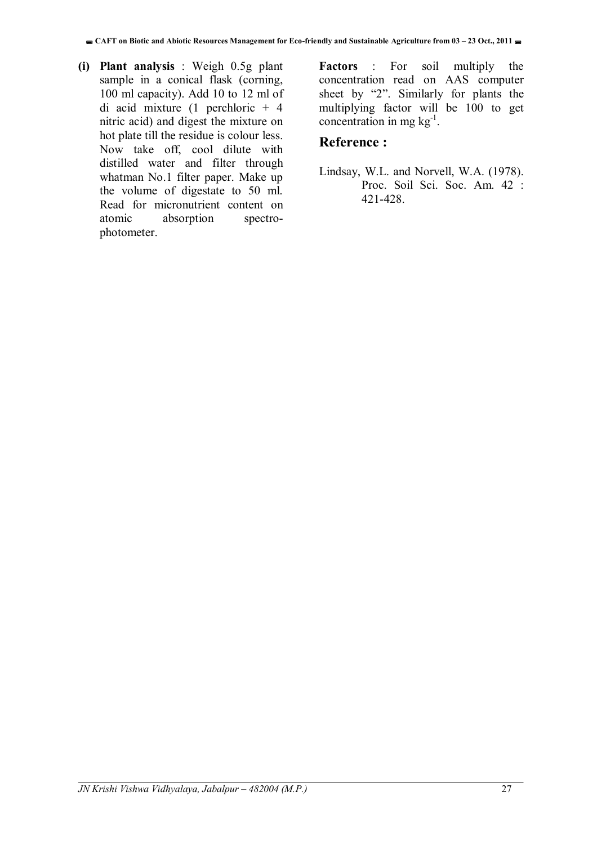**(i) Plant analysis** : Weigh 0.5g plant sample in a conical flask (corning, 100 ml capacity). Add 10 to 12 ml of di acid mixture (1 perchloric + 4 nitric acid) and digest the mixture on hot plate till the residue is colour less. Now take off, cool dilute with distilled water and filter through whatman No.1 filter paper. Make up the volume of digestate to 50 ml. Read for micronutrient content on atomic absorption spectrophotometer.

**Factors** : For soil multiply the concentration read on AAS computer sheet by "2". Similarly for plants the multiplying factor will be 100 to get concentration in mg  $kg^{-1}$ .

#### **Reference :**

Lindsay, W.L. and Norvell, W.A. (1978). Proc. Soil Sci. Soc. Am. 42 : 421-428.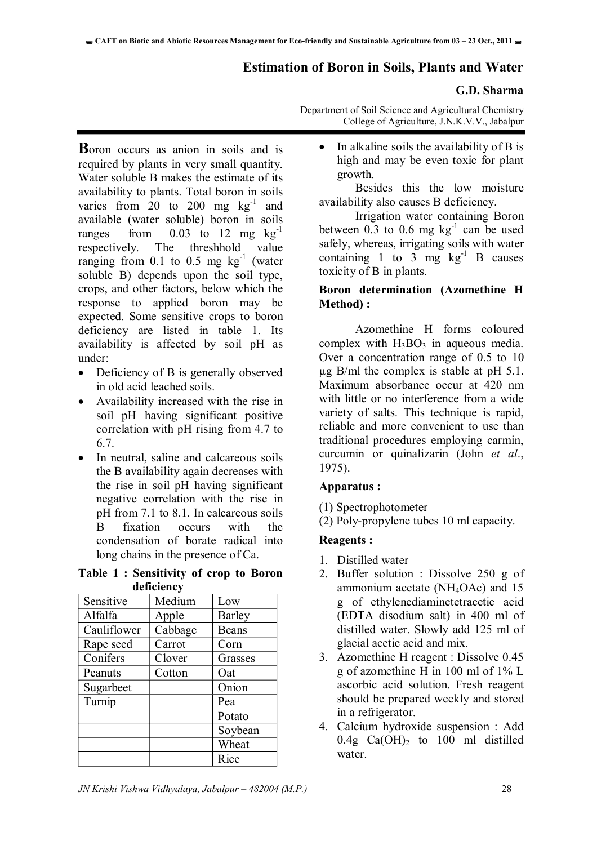#### **Estimation of Boron in Soils, Plants and Water**

#### **G.D. Sharma**

Department of Soil Science and Agricultural Chemistry College of Agriculture, J.N.K.V.V., Jabalpur

**B**oron occurs as anion in soils and is required by plants in very small quantity. Water soluble B makes the estimate of its availability to plants. Total boron in soils varies from  $20$  to  $200$  mg  $\text{kg}^{-1}$  and available (water soluble) boron in soils ranges from  $0.03$  to 12 mg  $kg^{-1}$ respectively. The threshhold value ranging from 0.1 to 0.5 mg  $kg^{-1}$  (water soluble B) depends upon the soil type, crops, and other factors, below which the response to applied boron may be expected. Some sensitive crops to boron deficiency are listed in table 1. Its availability is affected by soil pH as under:

- Deficiency of B is generally observed in old acid leached soils.
- Availability increased with the rise in soil pH having significant positive correlation with pH rising from 4.7 to 6.7.
- In neutral, saline and calcareous soils the B availability again decreases with the rise in soil pH having significant negative correlation with the rise in pH from 7.1 to 8.1. In calcareous soils B fixation occurs with the condensation of borate radical into long chains in the presence of Ca.

**Table 1 : Sensitivity of crop to Boron deficiency** 

|             | uvnener |         |  |  |  |
|-------------|---------|---------|--|--|--|
| Sensitive   | Medium  | Low     |  |  |  |
| Alfalfa     | Apple   | Barley  |  |  |  |
| Cauliflower | Cabbage | Beans   |  |  |  |
| Rape seed   | Carrot  | Corn    |  |  |  |
| Conifers    | Clover  | Grasses |  |  |  |
| Peanuts     | Cotton  | Oat     |  |  |  |
| Sugarbeet   |         | Onion   |  |  |  |
| Turnip      |         | Pea     |  |  |  |
|             |         | Potato  |  |  |  |
|             |         | Soybean |  |  |  |
|             |         | Wheat   |  |  |  |
|             |         | Rice    |  |  |  |

 $\bullet$  In alkaline soils the availability of B is high and may be even toxic for plant growth.

 Besides this the low moisture availability also causes B deficiency.

 Irrigation water containing Boron between  $0.\overline{3}$  to  $0.6$  mg kg<sup>-1</sup> can be used safely, whereas, irrigating soils with water containing 1 to 3 mg  $kg^{-1}$  B causes toxicity of B in plants.

#### **Boron determination (Azomethine H Method) :**

 Azomethine H forms coloured complex with  $H_3BO_3$  in aqueous media. Over a concentration range of 0.5 to 10  $\mu$ g B/ml the complex is stable at pH 5.1. Maximum absorbance occur at 420 nm with little or no interference from a wide variety of salts. This technique is rapid, reliable and more convenient to use than traditional procedures employing carmin, curcumin or quinalizarin (John *et al*., 1975).

#### **Apparatus :**

(1) Spectrophotometer

(2) Poly-propylene tubes 10 ml capacity.

#### **Reagents :**

- 1. Distilled water
- 2. Buffer solution : Dissolve 250 g of ammonium acetate (NH4OAc) and 15 g of ethylenediaminetetracetic acid (EDTA disodium salt) in 400 ml of distilled water. Slowly add 125 ml of glacial acetic acid and mix.
- 3. Azomethine H reagent : Dissolve 0.45 g of azomethine H in 100 ml of 1% L ascorbic acid solution. Fresh reagent should be prepared weekly and stored in a refrigerator.
- 4. Calcium hydroxide suspension : Add  $0.4g$  Ca(OH)<sub>2</sub> to 100 ml distilled water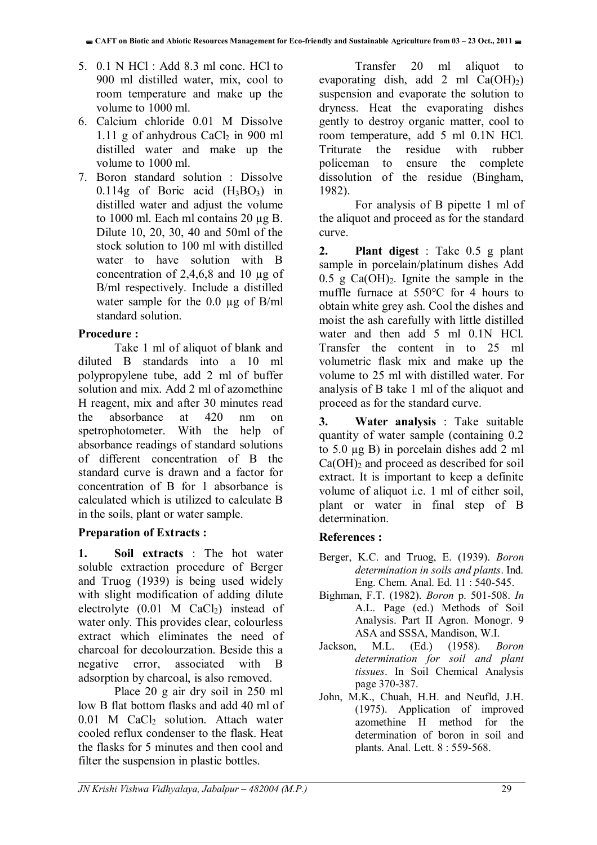- 5. 0.1 N HCl : Add 8.3 ml conc. HCl to 900 ml distilled water, mix, cool to room temperature and make up the volume to 1000 ml.
- 6. Calcium chloride 0.01 M Dissolve 1.11 g of anhydrous  $CaCl<sub>2</sub>$  in 900 ml distilled water and make up the volume to 1000 ml.
- 7. Boron standard solution : Dissolve 0.114g of Boric acid  $(H_3BO_3)$  in distilled water and adjust the volume to 1000 ml. Each ml contains 20 µg B. Dilute 10, 20, 30, 40 and 50ml of the stock solution to 100 ml with distilled water to have solution with B concentration of 2,4,6,8 and 10 µg of B/ml respectively. Include a distilled water sample for the  $0.0 \mu$ g of B/ml standard solution.

#### **Procedure :**

Take 1 ml of aliquot of blank and diluted B standards into a 10 ml polypropylene tube, add 2 ml of buffer solution and mix. Add 2 ml of azomethine H reagent, mix and after 30 minutes read the absorbance at 420 nm on spetrophotometer. With the help of absorbance readings of standard solutions of different concentration of B the standard curve is drawn and a factor for concentration of B for 1 absorbance is calculated which is utilized to calculate B in the soils, plant or water sample.

#### **Preparation of Extracts :**

**1. Soil extracts** : The hot water soluble extraction procedure of Berger and Truog (1939) is being used widely with slight modification of adding dilute electrolyte  $(0.01 \text{ M } CaCl<sub>2</sub>)$  instead of water only. This provides clear, colourless extract which eliminates the need of charcoal for decolourzation. Beside this a negative error, associated with B adsorption by charcoal, is also removed.

Place 20 g air dry soil in 250 ml low B flat bottom flasks and add 40 ml of  $0.01$  M CaCl<sub>2</sub> solution. Attach water cooled reflux condenser to the flask. Heat the flasks for 5 minutes and then cool and filter the suspension in plastic bottles.

Transfer 20 ml aliquot to evaporating dish, add 2 ml  $Ca(OH<sub>2</sub>)$ suspension and evaporate the solution to dryness. Heat the evaporating dishes gently to destroy organic matter, cool to room temperature, add 5 ml 0.1N HCl. Triturate the residue with rubber policeman to ensure the complete dissolution of the residue (Bingham, 1982).

For analysis of B pipette 1 ml of the aliquot and proceed as for the standard curve.

**2. Plant digest** : Take 0.5 g plant sample in porcelain/platinum dishes Add  $0.5$  g Ca(OH)<sub>2</sub>. Ignite the sample in the muffle furnace at 550°C for 4 hours to obtain white grey ash. Cool the dishes and moist the ash carefully with little distilled water and then add 5 ml 0.1N HCl. Transfer the content in to 25 ml volumetric flask mix and make up the volume to 25 ml with distilled water. For analysis of B take 1 ml of the aliquot and proceed as for the standard curve.

**3. Water analysis** : Take suitable quantity of water sample (containing 0.2 to 5.0 µg B) in porcelain dishes add 2 ml  $Ca(OH)<sub>2</sub>$  and proceed as described for soil extract. It is important to keep a definite volume of aliquot i.e. 1 ml of either soil, plant or water in final step of B determination.

#### **References :**

- Berger, K.C. and Truog, E. (1939). *Boron determination in soils and plants*. Ind. Eng. Chem. Anal. Ed. 11 : 540-545.
- Bighman, F.T. (1982). *Boron* p. 501-508. *In* A.L. Page (ed.) Methods of Soil Analysis. Part II Agron. Monogr. 9 ASA and SSSA, Mandison, W.I.
- Jackson, M.L. (Ed.) (1958). *Boron determination for soil and plant tissues*. In Soil Chemical Analysis page 370-387.
- John, M.K., Chuah, H.H. and Neufld, J.H. (1975). Application of improved azomethine H method for the determination of boron in soil and plants. Anal. Lett. 8 : 559-568.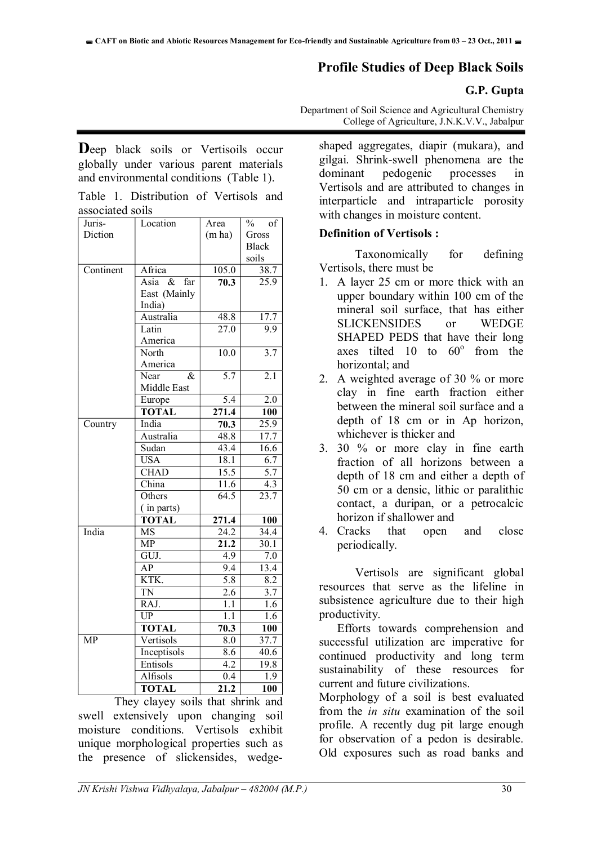### **Profile Studies of Deep Black Soils**

#### **G.P. Gupta**

Department of Soil Science and Agricultural Chemistry College of Agriculture, J.N.K.V.V., Jabalpur

Deep black soils or Vertisoils occur globally under various parent materials and environmental conditions (Table 1).

|                  | Table 1. Distribution of Vertisols and |  |  |
|------------------|----------------------------------------|--|--|
| associated soils |                                        |  |  |

| Juris-    | Location                                | Area               | $\frac{0}{0}$<br>of |
|-----------|-----------------------------------------|--------------------|---------------------|
| Diction   |                                         | (m ha)             | Gross               |
|           |                                         |                    | <b>Black</b>        |
|           |                                         |                    | soils               |
| Continent | Africa                                  | 105.0              | 38.7                |
|           | $\overline{\mathcal{X}}$<br>Asia<br>far | 70.3               | $\overline{25.9}$   |
|           | East (Mainly                            |                    |                     |
|           | India)                                  |                    |                     |
|           | Australia                               | 48.8               | 17.7                |
|           | Latin                                   | $\overline{27.0}$  | 9.9                 |
|           | America                                 |                    |                     |
|           | North                                   | 10.0               | $\overline{3.7}$    |
|           | America                                 |                    |                     |
|           | Near<br>&                               | $\overline{5.7}$   | 2.1                 |
|           | Middle East                             |                    |                     |
|           | Europe                                  | 5.4                | $\overline{2.0}$    |
|           | <b>TOTAL</b>                            | $\overline{271.4}$ | 100                 |
| Country   | India                                   | 70.3               | $\overline{25.9}$   |
|           | Australia                               | 48.8               | 17.7                |
|           | Sudan                                   | 43.4               | 16.6                |
|           | <b>USA</b>                              | 18.1               | 6.7                 |
|           | <b>CHAD</b>                             | 15.5               | 5.7                 |
|           | China                                   | $\overline{11.6}$  | 4.3                 |
|           | Others                                  | $\overline{64.5}$  | 23.7                |
|           | (in parts)                              |                    |                     |
|           | <b>TOTAL</b>                            | $\overline{271.4}$ | 100                 |
| India     | <b>MS</b>                               | 24.2               | 34.4                |
|           | <b>MP</b>                               | 21.2               | 30.1                |
|           | GUJ.                                    | 4.9                | 7.0                 |
|           | AP                                      | 9.4                | 13.4                |
|           | KTK.                                    | 5.8                | 8.2                 |
|           | <b>TN</b>                               | 2.6                | 3.7                 |
|           | RAJ.                                    | 1.1                | 1.6                 |
|           | UP                                      | 1.1                | 1.6                 |
|           | <b>TOTAL</b>                            | 70.3               | 100                 |
| <b>MP</b> | Vertisols                               | 8.0                | 37.7                |
|           | Inceptisols                             | 8.6                | 40.6                |
|           | Entisols                                | 4.2                | 19.8                |
|           | Alfisols                                | 0.4                | 1.9                 |
|           | <b>TOTAL</b>                            | 21.2               | 100                 |

They clayey soils that shrink and swell extensively upon changing soil moisture conditions. Vertisols exhibit unique morphological properties such as the presence of slickensides, wedgeshaped aggregates, diapir (mukara), and gilgai. Shrink-swell phenomena are the dominant pedogenic processes in Vertisols and are attributed to changes in interparticle and intraparticle porosity with changes in moisture content.

#### **Definition of Vertisols :**

Taxonomically for defining Vertisols, there must be

- 1. A layer 25 cm or more thick with an upper boundary within 100 cm of the mineral soil surface, that has either SLICKENSIDES or WEDGE SHAPED PEDS that have their long axes tilted  $10$  to  $60^\circ$  from the horizontal; and
- 2. A weighted average of 30 % or more clay in fine earth fraction either between the mineral soil surface and a depth of 18 cm or in Ap horizon, whichever is thicker and
- 3. 30 % or more clay in fine earth fraction of all horizons between a depth of 18 cm and either a depth of 50 cm or a densic, lithic or paralithic contact, a duripan, or a petrocalcic horizon if shallower and
- 4. Cracks that open and close periodically.

Vertisols are significant global resources that serve as the lifeline in subsistence agriculture due to their high productivity.

Efforts towards comprehension and successful utilization are imperative for continued productivity and long term sustainability of these resources for current and future civilizations.

Morphology of a soil is best evaluated from the *in situ* examination of the soil profile. A recently dug pit large enough for observation of a pedon is desirable. Old exposures such as road banks and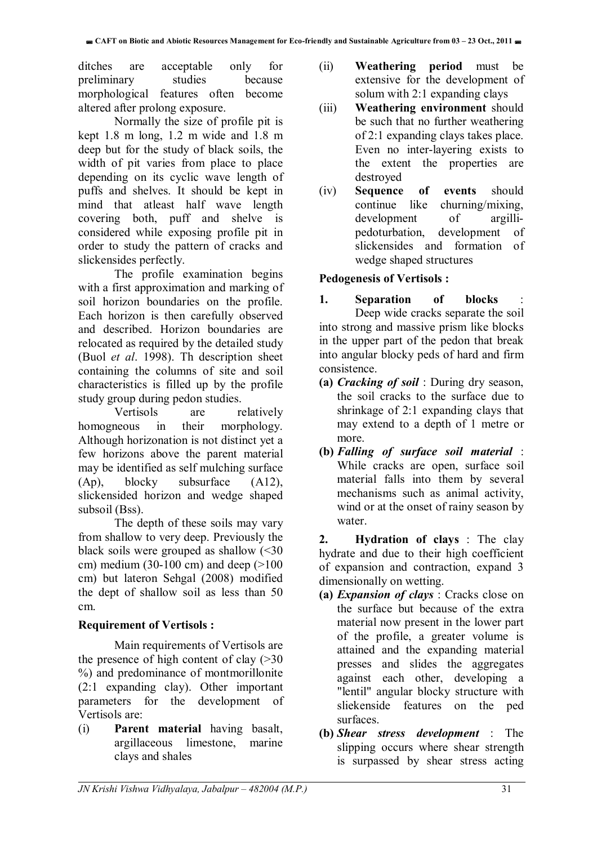ditches are acceptable only for preliminary studies because morphological features often become altered after prolong exposure.

Normally the size of profile pit is kept 1.8 m long, 1.2 m wide and 1.8 m deep but for the study of black soils, the width of pit varies from place to place depending on its cyclic wave length of puffs and shelves. It should be kept in mind that atleast half wave length covering both, puff and shelve is considered while exposing profile pit in order to study the pattern of cracks and slickensides perfectly.

The profile examination begins with a first approximation and marking of soil horizon boundaries on the profile. Each horizon is then carefully observed and described. Horizon boundaries are relocated as required by the detailed study (Buol *et al*. 1998). Th description sheet containing the columns of site and soil characteristics is filled up by the profile study group during pedon studies.

Vertisols are relatively homogneous in their morphology. Although horizonation is not distinct yet a few horizons above the parent material may be identified as self mulching surface (Ap), blocky subsurface (A12), slickensided horizon and wedge shaped subsoil (Bss).

The depth of these soils may vary from shallow to very deep. Previously the black soils were grouped as shallow  $\leq 30$ cm) medium (30-100 cm) and deep  $(>100$ cm) but lateron Sehgal (2008) modified the dept of shallow soil as less than 50 cm.

### **Requirement of Vertisols :**

Main requirements of Vertisols are the presence of high content of clay  $(>= 30$ %) and predominance of montmorillonite (2:1 expanding clay). Other important parameters for the development of Vertisols are:

(i) **Parent material** having basalt, argillaceous limestone, marine clays and shales

- (ii) **Weathering period** must be extensive for the development of solum with 2:1 expanding clays
- (iii) **Weathering environment** should be such that no further weathering of 2:1 expanding clays takes place. Even no inter-layering exists to the extent the properties are destroyed
- (iv) **Sequence of events** should continue like churning/mixing, development of argillipedoturbation, development of slickensides and formation of wedge shaped structures

#### **Pedogenesis of Vertisols :**

- 1. Separation of blocks Deep wide cracks separate the soil into strong and massive prism like blocks in the upper part of the pedon that break into angular blocky peds of hard and firm consistence.
- **(a)** *Cracking of soil* : During dry season, the soil cracks to the surface due to shrinkage of 2:1 expanding clays that may extend to a depth of 1 metre or more.
- **(b)** *Falling of surface soil material* : While cracks are open, surface soil material falls into them by several mechanisms such as animal activity, wind or at the onset of rainy season by water.

**2. Hydration of clays** : The clay hydrate and due to their high coefficient of expansion and contraction, expand 3 dimensionally on wetting.

- **(a)** *Expansion of clays* : Cracks close on the surface but because of the extra material now present in the lower part of the profile, a greater volume is attained and the expanding material presses and slides the aggregates against each other, developing a "lentil" angular blocky structure with sliekenside features on the ped surfaces.
- **(b)** *Shear stress development* : The slipping occurs where shear strength is surpassed by shear stress acting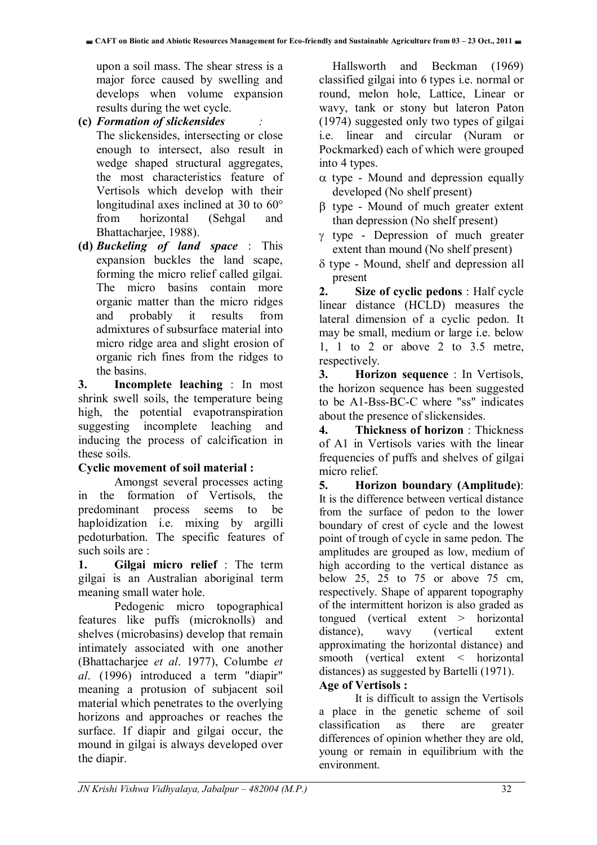upon a soil mass. The shear stress is a major force caused by swelling and develops when volume expansion results during the wet cycle.

**(c)** *Formation of slickensides :*

- The slickensides, intersecting or close enough to intersect, also result in wedge shaped structural aggregates, the most characteristics feature of Vertisols which develop with their longitudinal axes inclined at 30 to 60° from horizontal (Sehgal and Bhattacharjee, 1988).
- **(d)** *Buckeling of land space* : This expansion buckles the land scape, forming the micro relief called gilgai. The micro basins contain more organic matter than the micro ridges and probably it results from admixtures of subsurface material into micro ridge area and slight erosion of organic rich fines from the ridges to the basins.

**3. Incomplete leaching** : In most shrink swell soils, the temperature being high, the potential evapotranspiration suggesting incomplete leaching and inducing the process of calcification in these soils.

#### **Cyclic movement of soil material :**

Amongst several processes acting in the formation of Vertisols, the predominant process seems to be haploidization i.e. mixing by argilli pedoturbation. The specific features of such soils are :

**1. Gilgai micro relief** : The term gilgai is an Australian aboriginal term meaning small water hole.

Pedogenic micro topographical features like puffs (microknolls) and shelves (microbasins) develop that remain intimately associated with one another (Bhattacharjee *et al*. 1977), Columbe *et al*. (1996) introduced a term "diapir" meaning a protusion of subjacent soil material which penetrates to the overlying horizons and approaches or reaches the surface. If diapir and gilgai occur, the mound in gilgai is always developed over the diapir.

Hallsworth and Beckman (1969) classified gilgai into 6 types i.e. normal or round, melon hole, Lattice, Linear or wavy, tank or stony but lateron Paton (1974) suggested only two types of gilgai i.e. linear and circular (Nuram or Pockmarked) each of which were grouped into 4 types.

- $\alpha$  type Mound and depression equally developed (No shelf present)
- $\beta$  type Mound of much greater extent than depression (No shelf present)
- $\gamma$  type Depression of much greater extent than mound (No shelf present)
- $\delta$  type Mound, shelf and depression all present

**2. Size of cyclic pedons** : Half cycle linear distance (HCLD) measures the lateral dimension of a cyclic pedon. It may be small, medium or large i.e. below 1, 1 to 2 or above 2 to 3.5 metre, respectively.

**3. Horizon sequence** : In Vertisols, the horizon sequence has been suggested to be A1-Bss-BC-C where "ss" indicates about the presence of slickensides.

**4. Thickness of horizon** : Thickness of A1 in Vertisols varies with the linear frequencies of puffs and shelves of gilgai micro relief.

**5. Horizon boundary (Amplitude)**: It is the difference between vertical distance from the surface of pedon to the lower boundary of crest of cycle and the lowest point of trough of cycle in same pedon. The amplitudes are grouped as low, medium of high according to the vertical distance as below 25, 25 to 75 or above 75 cm, respectively. Shape of apparent topography of the intermittent horizon is also graded as tongued (vertical extent > horizontal distance), wavy (vertical extent approximating the horizontal distance) and smooth (vertical extent < horizontal distances) as suggested by Bartelli (1971).

#### **Age of Vertisols :**

It is difficult to assign the Vertisols a place in the genetic scheme of soil classification as there are greater differences of opinion whether they are old, young or remain in equilibrium with the environment.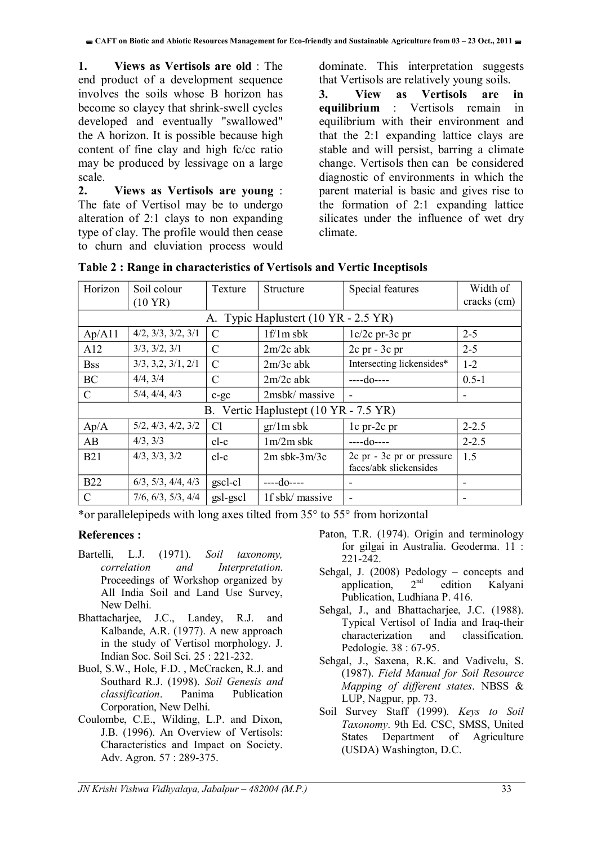**1. Views as Vertisols are old** : The end product of a development sequence involves the soils whose B horizon has become so clayey that shrink-swell cycles developed and eventually "swallowed" the A horizon. It is possible because high content of fine clay and high fc/cc ratio may be produced by lessivage on a large scale.

**2. Views as Vertisols are young** : The fate of Vertisol may be to undergo alteration of 2:1 clays to non expanding type of clay. The profile would then cease to churn and eluviation process would

dominate. This interpretation suggests that Vertisols are relatively young soils.

**3. View as Vertisols are in equilibrium** : Vertisols remain in equilibrium with their environment and that the 2:1 expanding lattice clays are stable and will persist, barring a climate change. Vertisols then can be considered diagnostic of environments in which the parent material is basic and gives rise to the formation of 2:1 expanding lattice silicates under the influence of wet dry climate.

| Horizon                               | Soil colour<br>$(10 \text{ YR})$ | Texture       | Structure                            | Special features                                    | Width of<br>cracks (cm)  |
|---------------------------------------|----------------------------------|---------------|--------------------------------------|-----------------------------------------------------|--------------------------|
|                                       |                                  |               | A. Typic Haplustert (10 YR - 2.5 YR) |                                                     |                          |
| Ap/A11                                | 4/2, 3/3, 3/2, 3/1               | $\mathcal{C}$ | $1f/1m$ sbk                          | $1c/2c$ pr-3c pr                                    | $2 - 5$                  |
| A12                                   | 3/3, 3/2, 3/1                    | C             | $2m/2c$ abk                          | $2c$ pr - $3c$ pr                                   | $2 - 5$                  |
| <b>Bss</b>                            | 3/3, 3, 2, 3/1, 2/1              | C             | $2m/3c$ abk                          | Intersecting lickensides*                           | $1 - 2$                  |
| BC                                    | 4/4, 3/4                         | $\mathcal{C}$ | $2m/2c$ abk                          | $---do---$                                          | $0.5 - 1$                |
| $\mathcal{C}$                         | 5/4, 4/4, 4/3                    | $c-gc$        | 2msbk/ massive                       | $\overline{\phantom{a}}$                            | $\overline{\phantom{a}}$ |
| B. Vertic Haplustept (10 YR - 7.5 YR) |                                  |               |                                      |                                                     |                          |
| Ap/A                                  | 5/2, 4/3, 4/2, 3/2               | Cl            | $gr/1m$ sbk                          | $1c$ pr-2 $c$ pr                                    | $2 - 2.5$                |
| AB                                    | 4/3, 3/3                         | $cl-c$        | $1m/2m$ sbk                          | ----do----                                          | $2 - 2.5$                |
| <b>B21</b>                            | 4/3, 3/3, 3/2                    | $cl-c$        | $2m$ sbk- $3m/3c$                    | 2c pr - 3c pr or pressure<br>faces/abk slickensides | 1.5                      |
| <b>B22</b>                            | $6/3$ , $5/3$ , $4/4$ , $4/3$    | gscl-cl       | ----do----                           |                                                     |                          |
| C                                     | 7/6, 6/3, 5/3, 4/4               | gsl-gscl      | 1f sbk/ massive                      | -                                                   |                          |

|  |  |  | Table 2 : Range in characteristics of Vertisols and Vertic Inceptisols |  |  |  |
|--|--|--|------------------------------------------------------------------------|--|--|--|
|--|--|--|------------------------------------------------------------------------|--|--|--|

\*or parallelepipeds with long axes tilted from 35° to 55° from horizontal

#### **References :**

- Bartelli, L.J. (1971). *Soil taxonomy, correlation and Interpretation*. Proceedings of Workshop organized by All India Soil and Land Use Survey, New Delhi.
- Bhattacharjee, J.C., Landey, R.J. and Kalbande, A.R. (1977). A new approach in the study of Vertisol morphology. J. Indian Soc. Soil Sci. 25 : 221-232.
- Buol, S.W., Hole, F.D. , McCracken, R.J. and Southard R.J. (1998). *Soil Genesis and classification*. Panima Publication Corporation, New Delhi.
- Coulombe, C.E., Wilding, L.P. and Dixon, J.B. (1996). An Overview of Vertisols: Characteristics and Impact on Society. Adv. Agron. 57 : 289-375.
- Paton, T.R. (1974). Origin and terminology for gilgai in Australia. Geoderma. 11 : 221-242.
- Sehgal, J. (2008) Pedology concepts and application, 2nd edition Kalyani Publication, Ludhiana P. 416.
- Sehgal, J., and Bhattacharjee, J.C. (1988). Typical Vertisol of India and Iraq-their characterization and classification. Pedologie. 38 : 67-95.
- Sehgal, J., Saxena, R.K. and Vadivelu, S. (1987). *Field Manual for Soil Resource Mapping of different states*. NBSS & LUP, Nagpur, pp. 73.
- Soil Survey Staff (1999). *Keys to Soil Taxonomy*. 9th Ed. CSC, SMSS, United States Department of Agriculture (USDA) Washington, D.C.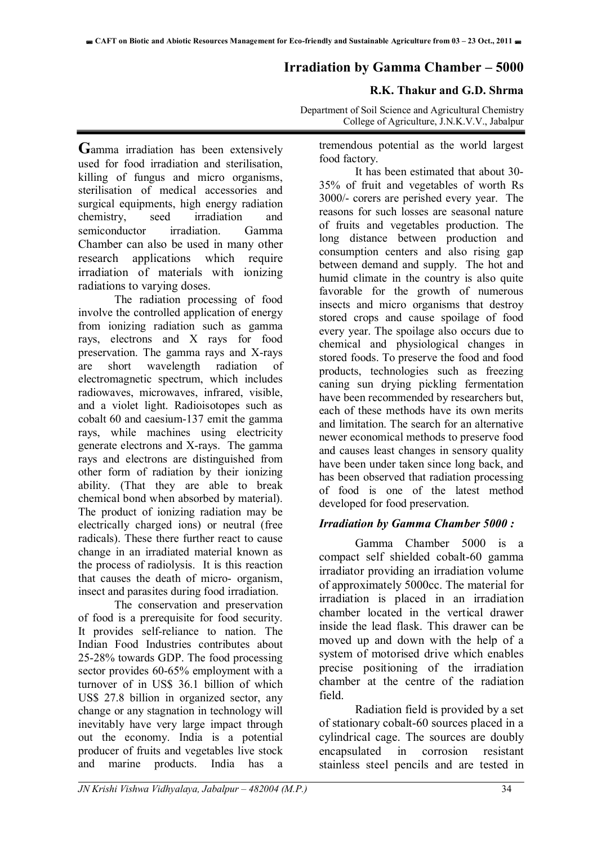#### **Irradiation by Gamma Chamber – 5000**

#### **R.K. Thakur and G.D. Shrma**

Department of Soil Science and Agricultural Chemistry College of Agriculture, J.N.K.V.V., Jabalpur

**G**amma irradiation has been extensively used for food irradiation and sterilisation, killing of fungus and micro organisms, sterilisation of medical accessories and surgical equipments, high energy radiation chemistry, seed irradiation and semiconductor irradiation. Gamma Chamber can also be used in many other research applications which require irradiation of materials with ionizing radiations to varying doses.

The radiation processing of food involve the controlled application of energy from ionizing radiation such as gamma rays, electrons and X rays for food preservation. The gamma rays and X-rays are short wavelength radiation of electromagnetic spectrum, which includes radiowaves, microwaves, infrared, visible, and a violet light. Radioisotopes such as cobalt 60 and caesium-137 emit the gamma rays, while machines using electricity generate electrons and X-rays. The gamma rays and electrons are distinguished from other form of radiation by their ionizing ability. (That they are able to break chemical bond when absorbed by material). The product of ionizing radiation may be electrically charged ions) or neutral (free radicals). These there further react to cause change in an irradiated material known as the process of radiolysis. It is this reaction that causes the death of micro- organism, insect and parasites during food irradiation.

The conservation and preservation of food is a prerequisite for food security. It provides self-reliance to nation. The Indian Food Industries contributes about 25-28% towards GDP. The food processing sector provides 60-65% employment with a turnover of in US\$ 36.1 billion of which US\$ 27.8 billion in organized sector, any change or any stagnation in technology will inevitably have very large impact through out the economy. India is a potential producer of fruits and vegetables live stock and marine products. India has a

tremendous potential as the world largest food factory.

 It has been estimated that about 30- 35% of fruit and vegetables of worth Rs 3000/- corers are perished every year. The reasons for such losses are seasonal nature of fruits and vegetables production. The long distance between production and consumption centers and also rising gap between demand and supply. The hot and humid climate in the country is also quite favorable for the growth of numerous insects and micro organisms that destroy stored crops and cause spoilage of food every year. The spoilage also occurs due to chemical and physiological changes in stored foods. To preserve the food and food products, technologies such as freezing caning sun drying pickling fermentation have been recommended by researchers but, each of these methods have its own merits and limitation. The search for an alternative newer economical methods to preserve food and causes least changes in sensory quality have been under taken since long back, and has been observed that radiation processing of food is one of the latest method developed for food preservation.

#### *Irradiation by Gamma Chamber 5000 :*

Gamma Chamber 5000 is a compact self shielded cobalt-60 gamma irradiator providing an irradiation volume of approximately 5000cc. The material for irradiation is placed in an irradiation chamber located in the vertical drawer inside the lead flask. This drawer can be moved up and down with the help of a system of motorised drive which enables precise positioning of the irradiation chamber at the centre of the radiation field.

Radiation field is provided by a set of stationary cobalt-60 sources placed in a cylindrical cage. The sources are doubly encapsulated in corrosion resistant stainless steel pencils and are tested in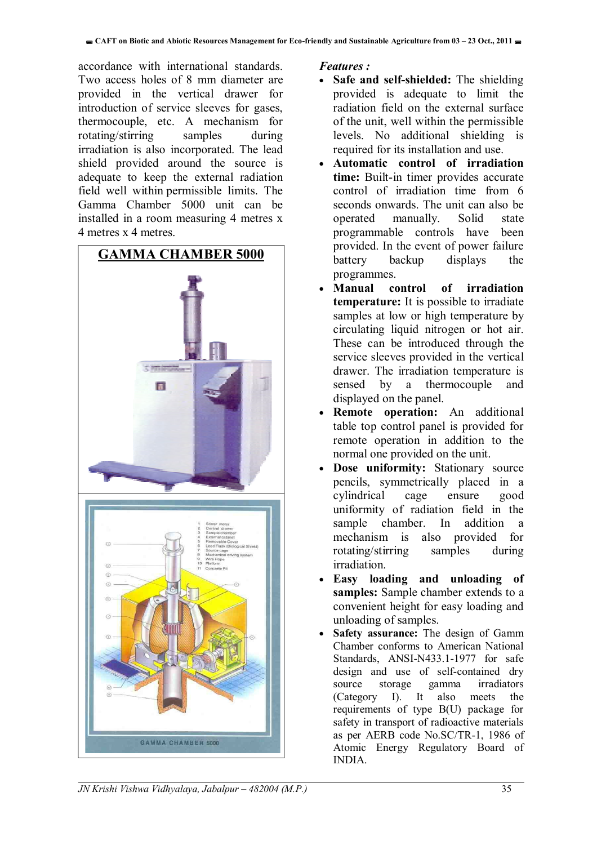accordance with international standards. Two access holes of 8 mm diameter are provided in the vertical drawer for introduction of service sleeves for gases, thermocouple, etc. A mechanism for rotating/stirring samples during irradiation is also incorporated. The lead shield provided around the source is adequate to keep the external radiation field well within permissible limits. The Gamma Chamber 5000 unit can be installed in a room measuring 4 metres x 4 metres x 4 metres.



*Features :* 

- **Safe and self-shielded:** The shielding provided is adequate to limit the radiation field on the external surface of the unit, well within the permissible levels. No additional shielding is required for its installation and use.
- **Automatic control of irradiation time:** Built-in timer provides accurate control of irradiation time from 6 seconds onwards. The unit can also be operated manually. Solid state programmable controls have been provided. In the event of power failure battery backup displays the programmes.
- **Manual control of irradiation temperature:** It is possible to irradiate samples at low or high temperature by circulating liquid nitrogen or hot air. These can be introduced through the service sleeves provided in the vertical drawer. The irradiation temperature is sensed by a thermocouple and displayed on the panel.
- **Remote operation:** An additional table top control panel is provided for remote operation in addition to the normal one provided on the unit.
- **Dose uniformity:** Stationary source pencils, symmetrically placed in a cylindrical cage ensure good uniformity of radiation field in the sample chamber. In addition a mechanism is also provided for rotating/stirring samples during irradiation.
- **Easy loading and unloading of samples:** Sample chamber extends to a convenient height for easy loading and unloading of samples.
- **Safety assurance:** The design of Gamm Chamber conforms to American National Standards, ANSI-N433.1-1977 for safe design and use of self-contained dry source storage gamma irradiators (Category I). It also meets the requirements of type B(U) package for safety in transport of radioactive materials as per AERB code No.SC/TR-1, 1986 of Atomic Energy Regulatory Board of INDIA.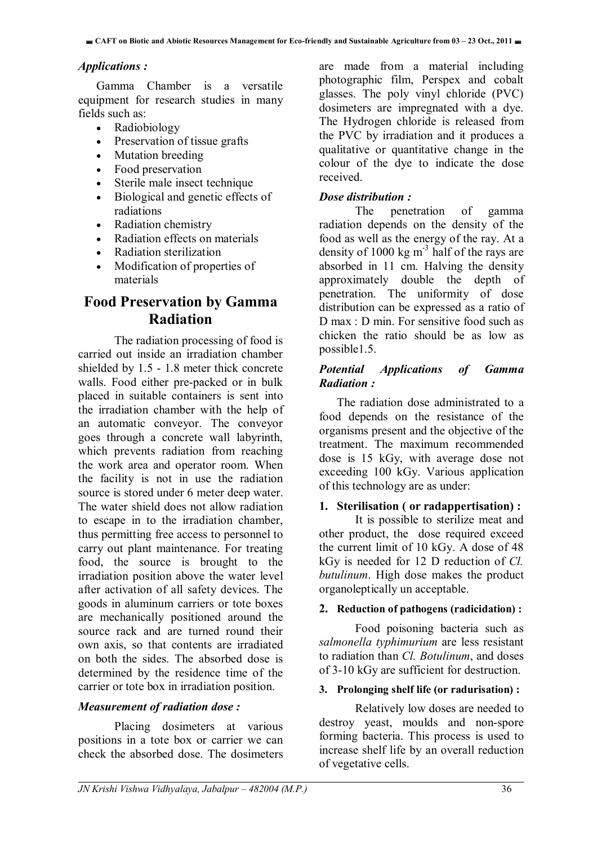#### *Applications :*

Gamma Chamber is a versatile equipment for research studies in many fields such as:

- Radiobiology
- Preservation of tissue grafts
- Mutation breeding
- Food preservation
- Sterile male insect technique
- Biological and genetic effects of radiations
- Radiation chemistry
- Radiation effects on materials
- Radiation sterilization
- Modification of properties of materials

### **Food Preservation by Gamma Radiation**

The radiation processing of food is carried out inside an irradiation chamber shielded by 1.5 - 1.8 meter thick concrete walls. Food either pre-packed or in bulk placed in suitable containers is sent into the irradiation chamber with the help of an automatic conveyor. The conveyor goes through a concrete wall labyrinth, which prevents radiation from reaching the work area and operator room. When the facility is not in use the radiation source is stored under 6 meter deep water. The water shield does not allow radiation to escape in to the irradiation chamber, thus permitting free access to personnel to carry out plant maintenance. For treating food, the source is brought to the irradiation position above the water level after activation of all safety devices. The goods in aluminum carriers or tote boxes are mechanically positioned around the source rack and are turned round their own axis, so that contents are irradiated on both the sides. The absorbed dose is determined by the residence time of the carrier or tote box in irradiation position.

#### *Measurement of radiation dose :*

Placing dosimeters at various positions in a tote box or carrier we can check the absorbed dose. The dosimeters

are made from a material including photographic film, Perspex and cobalt glasses. The poly vinyl chloride (PVC) dosimeters are impregnated with a dye. The Hydrogen chloride is released from the PVC by irradiation and it produces a qualitative or quantitative change in the colour of the dye to indicate the dose received.

#### *Dose distribution :*

The penetration of gamma radiation depends on the density of the food as well as the energy of the ray. At a density of 1000 kg  $m<sup>3</sup>$  half of the rays are absorbed in 11 cm. Halving the density approximately double the depth of penetration. The uniformity of dose distribution can be expressed as a ratio of D max : D min. For sensitive food such as chicken the ratio should be as low as possible1.5.

#### *Potential Applications of Gamma Radiation :*

The radiation dose administrated to a food depends on the resistance of the organisms present and the objective of the treatment. The maximum recommended dose is 15 kGy, with average dose not exceeding 100 kGy. Various application of this technology are as under:

#### **1. Sterilisation ( or radappertisation) :**

It is possible to sterilize meat and other product, the dose required exceed the current limit of 10 kGy. A dose of 48 kGy is needed for 12 D reduction of *Cl. butulinum*. High dose makes the product organoleptically un acceptable.

#### **2. Reduction of pathogens (radicidation) :**

Food poisoning bacteria such as *salmonella typhimurium* are less resistant to radiation than *Cl. Botulinum*, and doses of 3-10 kGy are sufficient for destruction.

#### **3. Prolonging shelf life (or radurisation) :**

Relatively low doses are needed to destroy yeast, moulds and non-spore forming bacteria. This process is used to increase shelf life by an overall reduction of vegetative cells.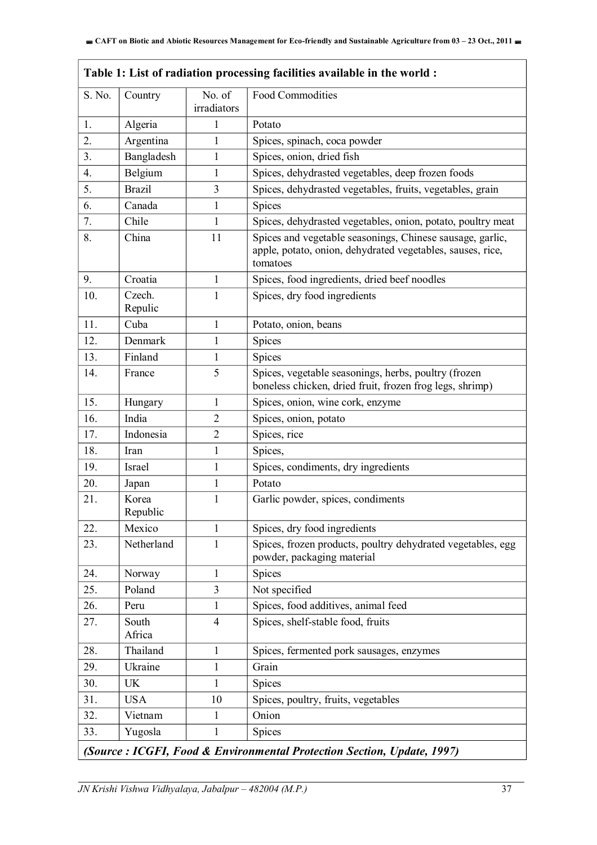$\overline{1}$ 

|                                                                        | Table 1: List of radiation processing facilities available in the world: |                         |                                                                                                                                     |  |
|------------------------------------------------------------------------|--------------------------------------------------------------------------|-------------------------|-------------------------------------------------------------------------------------------------------------------------------------|--|
| S. No.                                                                 | Country                                                                  | No. of<br>irradiators   | Food Commodities                                                                                                                    |  |
| 1.                                                                     | Algeria                                                                  | 1                       | Potato                                                                                                                              |  |
| 2.                                                                     | Argentina                                                                | $\mathbf{1}$            | Spices, spinach, coca powder                                                                                                        |  |
| 3 <sub>1</sub>                                                         | Bangladesh                                                               | $\mathbf{1}$            | Spices, onion, dried fish                                                                                                           |  |
| 4.                                                                     | Belgium                                                                  | $\mathbf{1}$            | Spices, dehydrasted vegetables, deep frozen foods                                                                                   |  |
| 5.                                                                     | <b>Brazil</b>                                                            | 3                       | Spices, dehydrasted vegetables, fruits, vegetables, grain                                                                           |  |
| 6.                                                                     | Canada                                                                   | $\mathbf{1}$            | Spices                                                                                                                              |  |
| 7.                                                                     | Chile                                                                    | $\mathbf{1}$            | Spices, dehydrasted vegetables, onion, potato, poultry meat                                                                         |  |
| 8.                                                                     | China                                                                    | 11                      | Spices and vegetable seasonings, Chinese sausage, garlic,<br>apple, potato, onion, dehydrated vegetables, sauses, rice,<br>tomatoes |  |
| 9.                                                                     | Croatia                                                                  | $\mathbf{1}$            | Spices, food ingredients, dried beef noodles                                                                                        |  |
| 10.                                                                    | Czech.<br>Repulic                                                        | 1                       | Spices, dry food ingredients                                                                                                        |  |
| 11.                                                                    | Cuba                                                                     | $\mathbf{1}$            | Potato, onion, beans                                                                                                                |  |
| 12.                                                                    | Denmark                                                                  | $\mathbf{1}$            | Spices                                                                                                                              |  |
| 13.                                                                    | Finland                                                                  | $\mathbf{1}$            | <b>Spices</b>                                                                                                                       |  |
| 14.                                                                    | France                                                                   | 5                       | Spices, vegetable seasonings, herbs, poultry (frozen<br>boneless chicken, dried fruit, frozen frog legs, shrimp)                    |  |
| 15.                                                                    | Hungary                                                                  | $\mathbf{1}$            | Spices, onion, wine cork, enzyme                                                                                                    |  |
| 16.                                                                    | India                                                                    | $\overline{2}$          | Spices, onion, potato                                                                                                               |  |
| 17.                                                                    | Indonesia                                                                | $\overline{2}$          | Spices, rice                                                                                                                        |  |
| 18.                                                                    | Iran                                                                     | $\mathbf{1}$            | Spices,                                                                                                                             |  |
| 19.                                                                    | Israel                                                                   | $\mathbf{1}$            | Spices, condiments, dry ingredients                                                                                                 |  |
| 20.                                                                    | Japan                                                                    | $\mathbf{1}$            | Potato                                                                                                                              |  |
| 21.                                                                    | Korea<br>Republic                                                        | 1                       | Garlic powder, spices, condiments                                                                                                   |  |
| 22.                                                                    | Mexico                                                                   | 1                       | Spices, dry food ingredients                                                                                                        |  |
| 23.                                                                    | Netherland                                                               | 1                       | Spices, frozen products, poultry dehydrated vegetables, egg<br>powder, packaging material                                           |  |
| 24.                                                                    | Norway                                                                   | 1                       | Spices                                                                                                                              |  |
| 25.                                                                    | Poland                                                                   | $\overline{\mathbf{3}}$ | Not specified                                                                                                                       |  |
| 26.                                                                    | Peru                                                                     | $\mathbf{1}$            | Spices, food additives, animal feed                                                                                                 |  |
| 27.                                                                    | South<br>Africa                                                          | $\overline{4}$          | Spices, shelf-stable food, fruits                                                                                                   |  |
| 28.                                                                    | Thailand                                                                 | 1                       | Spices, fermented pork sausages, enzymes                                                                                            |  |
| 29.                                                                    | Ukraine                                                                  | $\mathbf{1}$            | Grain                                                                                                                               |  |
| 30.                                                                    | <b>UK</b>                                                                | 1                       | Spices                                                                                                                              |  |
| 31.                                                                    | <b>USA</b>                                                               | 10                      | Spices, poultry, fruits, vegetables                                                                                                 |  |
| 32.                                                                    | Vietnam                                                                  | 1                       | Onion                                                                                                                               |  |
| 33.                                                                    | Yugosla                                                                  | $\mathbf{1}$            | Spices                                                                                                                              |  |
| (Source: ICGFI, Food & Environmental Protection Section, Update, 1997) |                                                                          |                         |                                                                                                                                     |  |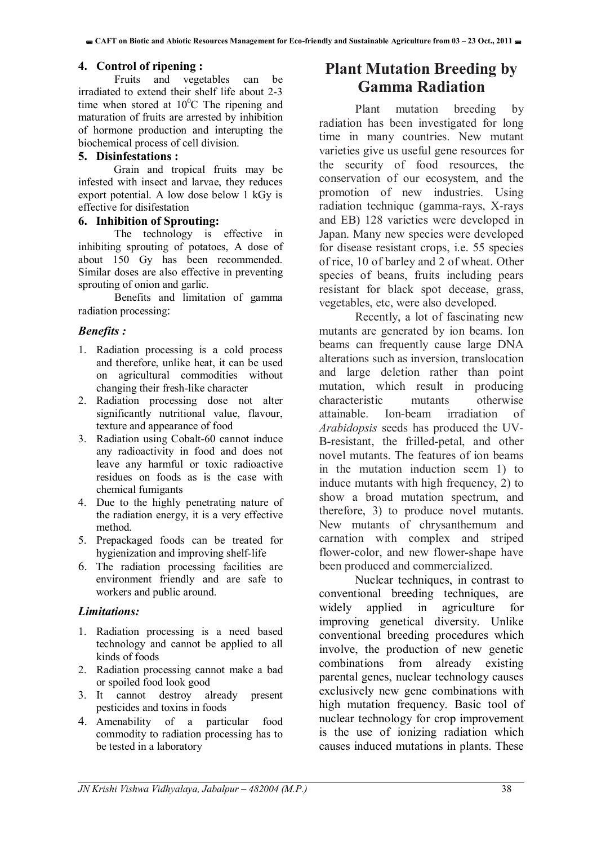#### **4. Control of ripening :**

Fruits and vegetables can be irradiated to extend their shelf life about 2-3 time when stored at  $10^{0}$ C The ripening and maturation of fruits are arrested by inhibition of hormone production and interupting the biochemical process of cell division.

#### **5. Disinfestations :**

Grain and tropical fruits may be infested with insect and larvae, they reduces export potential. A low dose below 1 kGy is effective for disifestation

#### **6. Inhibition of Sprouting:**

The technology is effective in inhibiting sprouting of potatoes, A dose of about 150 Gy has been recommended. Similar doses are also effective in preventing sprouting of onion and garlic.

Benefits and limitation of gamma radiation processing:

#### *Benefits :*

- 1. Radiation processing is a cold process and therefore, unlike heat, it can be used on agricultural commodities without changing their fresh-like character
- 2. Radiation processing dose not alter significantly nutritional value, flavour, texture and appearance of food
- 3. Radiation using Cobalt-60 cannot induce any radioactivity in food and does not leave any harmful or toxic radioactive residues on foods as is the case with chemical fumigants
- 4. Due to the highly penetrating nature of the radiation energy, it is a very effective method.
- 5. Prepackaged foods can be treated for hygienization and improving shelf-life
- 6. The radiation processing facilities are environment friendly and are safe to workers and public around.

#### *Limitations:*

- 1. Radiation processing is a need based technology and cannot be applied to all kinds of foods
- 2. Radiation processing cannot make a bad or spoiled food look good
- 3. It cannot destroy already present pesticides and toxins in foods
- 4. Amenability of a particular food commodity to radiation processing has to be tested in a laboratory

# **Plant Mutation Breeding by Gamma Radiation**

Plant mutation breeding by radiation has been investigated for long time in many countries. New mutant varieties give us useful gene resources for the security of food resources, the conservation of our ecosystem, and the promotion of new industries. Using radiation technique (gamma-rays, X-rays and EB) 128 varieties were developed in Japan. Many new species were developed for disease resistant crops, i.e. 55 species of rice, 10 of barley and 2 of wheat. Other species of beans, fruits including pears resistant for black spot decease, grass, vegetables, etc, were also developed.

Recently, a lot of fascinating new mutants are generated by ion beams. Ion beams can frequently cause large DNA alterations such as inversion, translocation and large deletion rather than point mutation, which result in producing characteristic mutants otherwise attainable. Ion-beam irradiation of *Arabidopsis* seeds has produced the UV-B-resistant, the frilled-petal, and other novel mutants. The features of ion beams in the mutation induction seem 1) to induce mutants with high frequency, 2) to show a broad mutation spectrum, and therefore, 3) to produce novel mutants. New mutants of chrysanthemum and carnation with complex and striped flower-color, and new flower-shape have been produced and commercialized.

Nuclear techniques, in contrast to conventional breeding techniques, are widely applied in agriculture for improving genetical diversity. Unlike conventional breeding procedures which involve, the production of new genetic combinations from already existing parental genes, nuclear technology causes exclusively new gene combinations with high mutation frequency. Basic tool of nuclear technology for crop improvement is the use of ionizing radiation which causes induced mutations in plants. These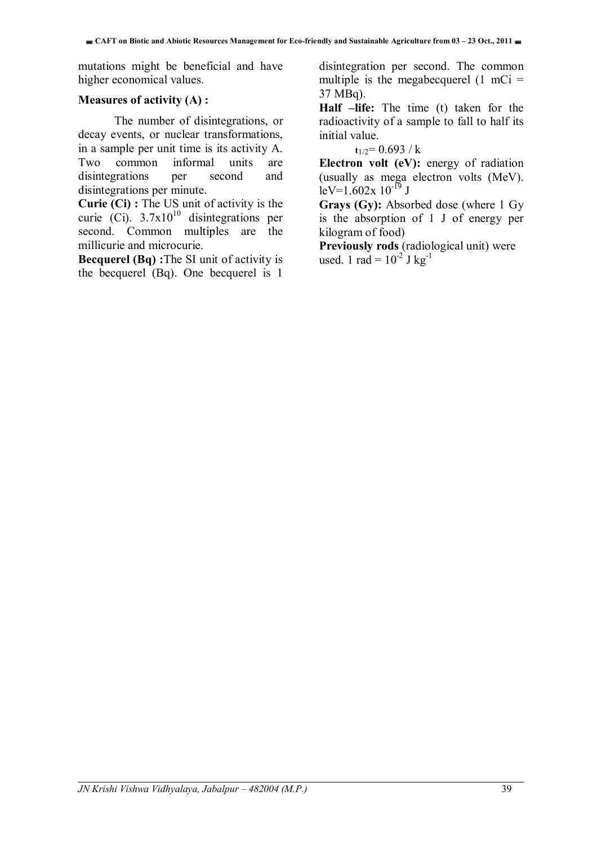mutations might be beneficial and have higher economical values.

#### **Measures of activity (A) :**

The number of disintegrations, or decay events, or nuclear transformations, in a sample per unit time is its activity A. Two common informal units are disintegrations per second and disintegrations per minute.

**Curie (Ci) :** The US unit of activity is the curie (Ci).  $3.7x10^{10}$  disintegrations per second. Common multiples are the millicurie and microcurie.

**Becquerel (Bq) :**The SI unit of activity is the becquerel (Bq). One becquerel is 1

disintegration per second. The common multiple is the megabecquerel  $(1 \text{ mCi} =$ 37 MBq).

**Half –life:** The time (t) taken for the radioactivity of a sample to fall to half its initial value.

#### $t_{1/2}= 0.693 / k$

**Electron volt (eV):** energy of radiation (usually as mega electron volts (MeV).  $leV=1.602x 10^{-19}$  J

**Grays (Gy):** Absorbed dose (where 1 Gy is the absorption of 1 J of energy per kilogram of food)

**Previously rods** (radiological unit) were used. 1 rad =  $10^{-2}$  J kg<sup>-1</sup>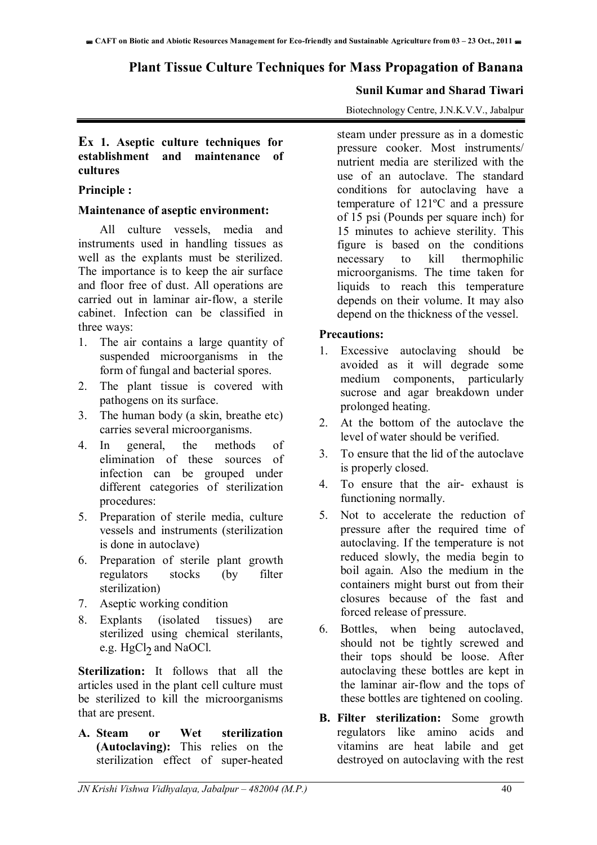### **Plant Tissue Culture Techniques for Mass Propagation of Banana**

#### **Sunil Kumar and Sharad Tiwari**

Biotechnology Centre, J.N.K.V.V., Jabalpur

#### **Ex 1. Aseptic culture techniques for establishment and maintenance of cultures**

#### **Principle :**

#### **Maintenance of aseptic environment:**

All culture vessels, media and instruments used in handling tissues as well as the explants must be sterilized. The importance is to keep the air surface and floor free of dust. All operations are carried out in laminar air-flow, a sterile cabinet. Infection can be classified in three ways:

- 1. The air contains a large quantity of suspended microorganisms in the form of fungal and bacterial spores.
- 2. The plant tissue is covered with pathogens on its surface.
- 3. The human body (a skin, breathe etc) carries several microorganisms.
- 4. In general, the methods of elimination of these sources of infection can be grouped under different categories of sterilization procedures:
- 5. Preparation of sterile media, culture vessels and instruments (sterilization is done in autoclave)
- 6. Preparation of sterile plant growth regulators stocks (by filter sterilization)
- 7. Aseptic working condition
- 8. Explants (isolated tissues) are sterilized using chemical sterilants, e.g.  $HgCl<sub>2</sub>$  and NaOCl.

**Sterilization:** It follows that all the articles used in the plant cell culture must be sterilized to kill the microorganisms that are present.

**A. Steam or Wet sterilization (Autoclaving):** This relies on the sterilization effect of super-heated steam under pressure as in a domestic pressure cooker. Most instruments/ nutrient media are sterilized with the use of an autoclave. The standard conditions for autoclaving have a temperature of 121ºC and a pressure of 15 psi (Pounds per square inch) for 15 minutes to achieve sterility. This figure is based on the conditions necessary to kill thermophilic microorganisms. The time taken for liquids to reach this temperature depends on their volume. It may also depend on the thickness of the vessel.

#### **Precautions:**

- 1. Excessive autoclaving should be avoided as it will degrade some medium components, particularly sucrose and agar breakdown under prolonged heating.
- 2. At the bottom of the autoclave the level of water should be verified.
- 3. To ensure that the lid of the autoclave is properly closed.
- 4. To ensure that the air- exhaust is functioning normally.
- 5. Not to accelerate the reduction of pressure after the required time of autoclaving. If the temperature is not reduced slowly, the media begin to boil again. Also the medium in the containers might burst out from their closures because of the fast and forced release of pressure.
- 6. Bottles, when being autoclaved, should not be tightly screwed and their tops should be loose. After autoclaving these bottles are kept in the laminar air-flow and the tops of these bottles are tightened on cooling.
- **B. Filter sterilization:** Some growth regulators like amino acids and vitamins are heat labile and get destroyed on autoclaving with the rest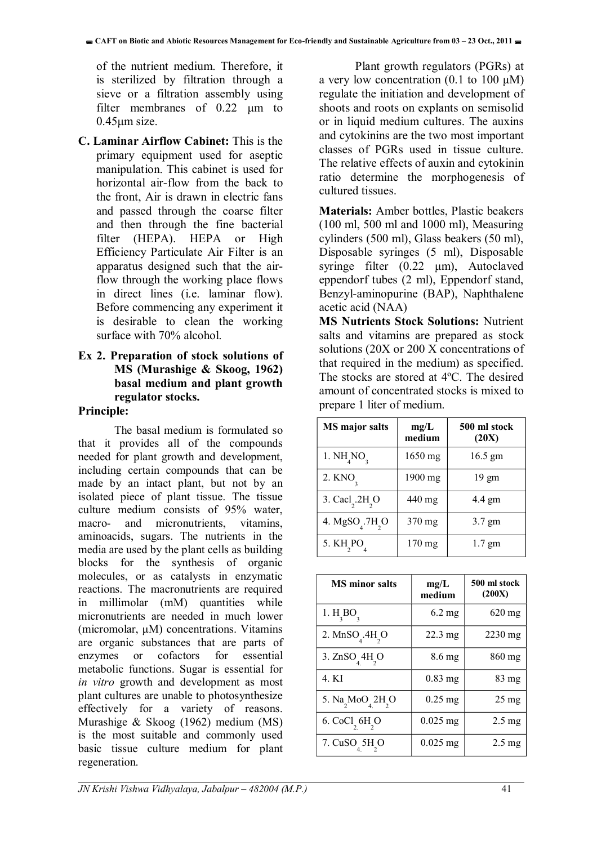of the nutrient medium. Therefore, it is sterilized by filtration through a sieve or a filtration assembly using filter membranes of 0.22  $\mu$ m to 0.45μm size.

**C. Laminar Airflow Cabinet:** This is the primary equipment used for aseptic manipulation. This cabinet is used for horizontal air-flow from the back to the front, Air is drawn in electric fans and passed through the coarse filter and then through the fine bacterial filter (HEPA). HEPA or High Efficiency Particulate Air Filter is an apparatus designed such that the airflow through the working place flows in direct lines (i.e. laminar flow). Before commencing any experiment it is desirable to clean the working surface with 70% alcohol.

#### **Ex 2. Preparation of stock solutions of MS (Murashige & Skoog, 1962) basal medium and plant growth regulator stocks.**

#### **Principle:**

The basal medium is formulated so that it provides all of the compounds needed for plant growth and development, including certain compounds that can be made by an intact plant, but not by an isolated piece of plant tissue. The tissue culture medium consists of 95% water, macro- and micronutrients, vitamins, aminoacids, sugars. The nutrients in the media are used by the plant cells as building blocks for the synthesis of organic molecules, or as catalysts in enzymatic reactions. The macronutrients are required in millimolar (mM) quantities while micronutrients are needed in much lower (micromolar, μM) concentrations. Vitamins are organic substances that are parts of enzymes or cofactors for essential metabolic functions. Sugar is essential for *in vitro* growth and development as most plant cultures are unable to photosynthesize effectively for a variety of reasons. Murashige & Skoog (1962) medium (MS) is the most suitable and commonly used basic tissue culture medium for plant regeneration.

 Plant growth regulators (PGRs) at a very low concentration  $(0.1 \text{ to } 100 \text{ }\mu\text{M})$ regulate the initiation and development of shoots and roots on explants on semisolid or in liquid medium cultures. The auxins and cytokinins are the two most important classes of PGRs used in tissue culture. The relative effects of auxin and cytokinin ratio determine the morphogenesis of cultured tissues.

**Materials:** Amber bottles, Plastic beakers (100 ml, 500 ml and 1000 ml), Measuring cylinders (500 ml), Glass beakers (50 ml), Disposable syringes (5 ml), Disposable syringe filter (0.22 μm), Autoclaved eppendorf tubes (2 ml), Eppendorf stand, Benzyl-aminopurine (BAP), Naphthalene acetic acid (NAA)

**MS Nutrients Stock Solutions:** Nutrient salts and vitamins are prepared as stock solutions (20X or 200 X concentrations of that required in the medium) as specified. The stocks are stored at 4ºC. The desired amount of concentrated stocks is mixed to prepare 1 liter of medium.

| <b>MS</b> major salts                                | mg/L<br>medium   | 500 ml stock<br>(20X) |
|------------------------------------------------------|------------------|-----------------------|
| 1. NH <sub>4</sub> NO <sub>2</sub>                   | 1650 mg          | 16.5 gm               |
| 2. KNO <sub>2</sub>                                  | 1900 mg          | 19 gm                 |
| 3. Cacl <sub>2</sub> .2H <sub>2</sub> O              | 440 mg           | $4.4 \text{ gm}$      |
| 4. MgSO <sub><math>4</math></sub> .7H <sub>2</sub> O | 370 mg           | 3.7 gm                |
| 5. KH PO                                             | $170 \text{ mg}$ | $1.7$ gm              |

| <b>MS</b> minor salts                | mg/L<br>medium      | 500 ml stock<br>(200X) |
|--------------------------------------|---------------------|------------------------|
| 1. $H_3BO_3$                         | $6.2 \text{ mg}$    | 620 mg                 |
| 2. $MnSOA$ .4H <sub>2</sub> O        | $22.3 \text{ mg}$   | $2230$ mg              |
| 3. $ZnSO44H2O$                       | $8.6 \,\mathrm{mg}$ | 860 mg                 |
| 4. KI                                | 0.83 mg             | 83 mg                  |
| 5. $Na_2MoO_4 2H_2O$                 | $0.25$ mg           | $25 \text{ mg}$        |
| 6. CoCl <sub>, 6H<sub>2</sub>O</sub> | $0.025$ mg          | $2.5 \text{ mg}$       |
| 7. CuSO 5H O                         | $0.025$ mg          | $2.5 \text{ mg}$       |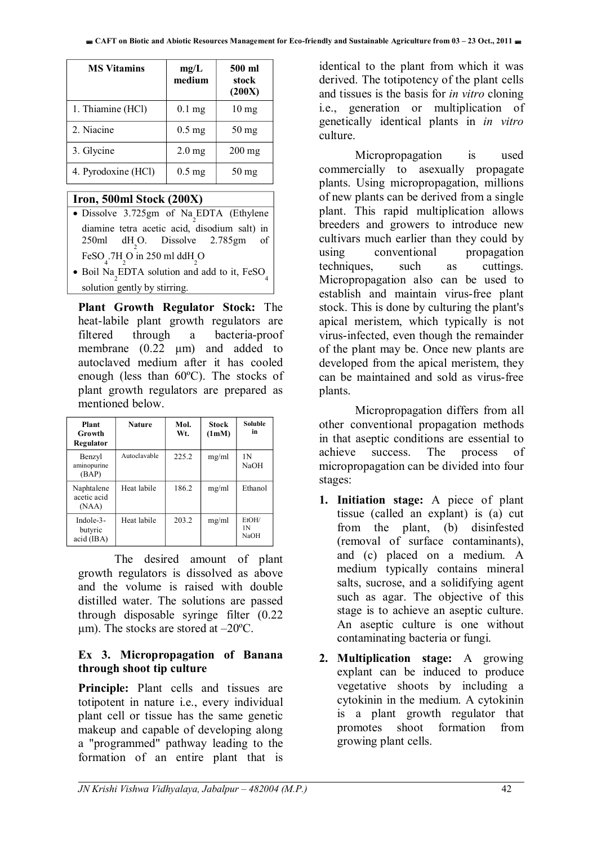| <b>MS Vitamins</b>  | mg/L<br>medium | 500 ml<br>stock<br>(200X) |
|---------------------|----------------|---------------------------|
| 1. Thiamine (HCl)   | $0.1$ mg       | $10 \text{ mg}$           |
| 2. Niacine          | $0.5$ mg       | $50$ mg                   |
| 3. Glycine          | $2.0$ mg       | $200$ mg                  |
| 4. Pyrodoxine (HCl) | $0.5$ mg       | 50 mg                     |

#### **Iron, 500ml Stock (200X)**

- Dissolve  $3.725$ gm of Na<sub>2</sub>EDTA (Ethylene diamine tetra acetic acid, disodium salt) in 250ml  $dH_2$ O. Dissolve 2.785gm of FeSO<sub>4</sub>.7H<sub>2</sub>O in 250 ml ddH<sub>2</sub>O
- Boil Na<sub>2</sub>EDTA solution and add to it,  $FesO_4$ solution gently by stirring.

**Plant Growth Regulator Stock:** The heat-labile plant growth regulators are filtered through a bacteria-proof membrane (0.22 μm) and added to autoclaved medium after it has cooled enough (less than 60ºC). The stocks of plant growth regulators are prepared as mentioned below.

| Plant<br>Growth<br>Regulator          | <b>Nature</b> | Mol.<br>Wt. | <b>Stock</b><br>(1mM) | <b>Soluble</b><br>in        |
|---------------------------------------|---------------|-------------|-----------------------|-----------------------------|
| Benzyl<br>aminopurine<br>(BAP)        | Autoclavable  | 225.2       | mg/ml                 | 1 N<br><b>NaOH</b>          |
| Naphtalene<br>acetic acid<br>(NAA)    | Heat labile   | 186.2       | mg/ml                 | Ethanol                     |
| Indole- $3-$<br>butyric<br>acid (IBA) | Heat labile   | 203.2       | mg/ml                 | EtOH/<br>1 N<br><b>NaOH</b> |

The desired amount of plant growth regulators is dissolved as above and the volume is raised with double distilled water. The solutions are passed through disposable syringe filter (0.22  $\mu$ m). The stocks are stored at  $-20^{\circ}$ C.

#### **Ex 3. Micropropagation of Banana through shoot tip culture**

**Principle:** Plant cells and tissues are totipotent in nature i.e., every individual plant cell or tissue has the same genetic makeup and capable of developing along a "programmed" pathway leading to the formation of an entire plant that is identical to the plant from which it was derived. The totipotency of the plant cells and tissues is the basis for *in vitro* cloning i.e., generation or multiplication of genetically identical plants in *in vitro*  culture.

 Micropropagation is used commercially to asexually propagate plants. Using micropropagation, millions of new plants can be derived from a single plant. This rapid multiplication allows breeders and growers to introduce new cultivars much earlier than they could by using conventional propagation techniques, such as cuttings. Micropropagation also can be used to establish and maintain virus-free plant stock. This is done by culturing the plant's apical meristem, which typically is not virus-infected, even though the remainder of the plant may be. Once new plants are developed from the apical meristem, they can be maintained and sold as virus-free plants.

 Micropropagation differs from all other conventional propagation methods in that aseptic conditions are essential to achieve success. The process of micropropagation can be divided into four stages:

- **1. Initiation stage:** A piece of plant tissue (called an explant) is (a) cut from the plant, (b) disinfested (removal of surface contaminants), and (c) placed on a medium. A medium typically contains mineral salts, sucrose, and a solidifying agent such as agar. The objective of this stage is to achieve an aseptic culture. An aseptic culture is one without contaminating bacteria or fungi.
- **2. Multiplication stage:** A growing explant can be induced to produce vegetative shoots by including a cytokinin in the medium. A cytokinin is a plant growth regulator that promotes shoot formation from growing plant cells.